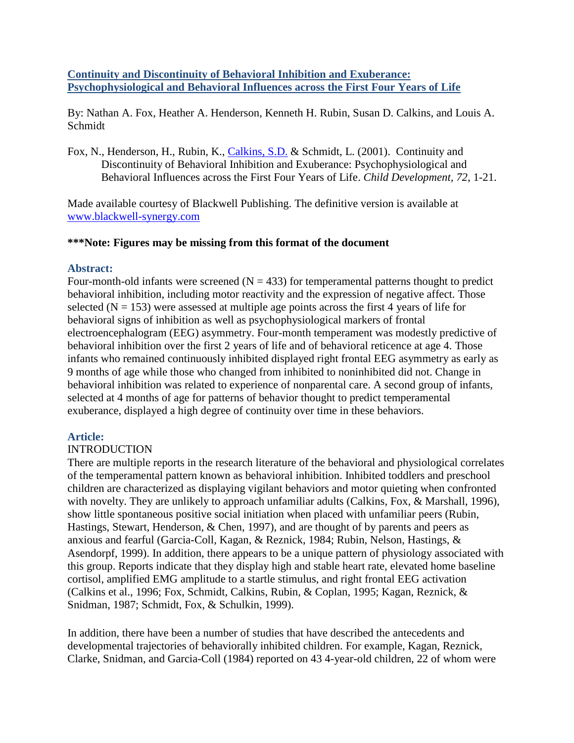**Continuity and Discontinuity of Behavioral Inhibition and Exuberance: Psychophysiological and Behavioral Influences across the First Four Years of Life**

By: Nathan A. Fox, Heather A. Henderson, Kenneth H. Rubin, Susan D. Calkins, and Louis A. Schmidt

Fox, N., Henderson, H., Rubin, K., [Calkins, S.D.](http://libres.uncg.edu/ir/uncg/clist.aspx?id=1258) & Schmidt, L. (2001). Continuity and Discontinuity of Behavioral Inhibition and Exuberance: Psychophysiological and Behavioral Influences across the First Four Years of Life. *Child Development, 72*, 1-21.

Made available courtesy of Blackwell Publishing. The definitive version is available at [www.blackwell-synergy.com](http://www.blackwell-synergy.com/)

### **\*\*\*Note: Figures may be missing from this format of the document**

#### **Abstract:**

Four-month-old infants were screened  $(N = 433)$  for temperamental patterns thought to predict behavioral inhibition, including motor reactivity and the expression of negative affect. Those selected ( $N = 153$ ) were assessed at multiple age points across the first 4 years of life for behavioral signs of inhibition as well as psychophysiological markers of frontal electroencephalogram (EEG) asymmetry. Four-month temperament was modestly predictive of behavioral inhibition over the first 2 years of life and of behavioral reticence at age 4. Those infants who remained continuously inhibited displayed right frontal EEG asymmetry as early as 9 months of age while those who changed from inhibited to noninhibited did not. Change in behavioral inhibition was related to experience of nonparental care. A second group of infants, selected at 4 months of age for patterns of behavior thought to predict temperamental exuberance, displayed a high degree of continuity over time in these behaviors.

### **Article:**

### **INTRODUCTION**

There are multiple reports in the research literature of the behavioral and physiological correlates of the temperamental pattern known as behavioral inhibition. Inhibited toddlers and preschool children are characterized as displaying vigilant behaviors and motor quieting when confronted with novelty. They are unlikely to approach unfamiliar adults (Calkins, Fox, & Marshall, 1996), show little spontaneous positive social initiation when placed with unfamiliar peers (Rubin, Hastings, Stewart, Henderson, & Chen, 1997), and are thought of by parents and peers as anxious and fearful (Garcia-Coll, Kagan, & Reznick, 1984; Rubin, Nelson, Hastings, & Asendorpf, 1999). In addition, there appears to be a unique pattern of physiology associated with this group. Reports indicate that they display high and stable heart rate, elevated home baseline cortisol, amplified EMG amplitude to a startle stimulus, and right frontal EEG activation (Calkins et al., 1996; Fox, Schmidt, Calkins, Rubin, & Coplan, 1995; Kagan, Reznick, & Snidman, 1987; Schmidt, Fox, & Schulkin, 1999).

In addition, there have been a number of studies that have described the antecedents and developmental trajectories of behaviorally inhibited children. For example, Kagan, Reznick, Clarke, Snidman, and Garcia-Coll (1984) reported on 43 4-year-old children, 22 of whom were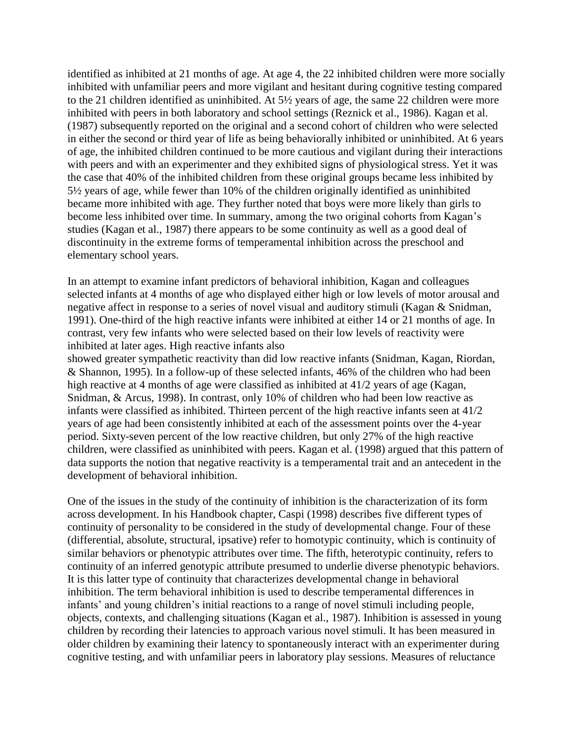identified as inhibited at 21 months of age. At age 4, the 22 inhibited children were more socially inhibited with unfamiliar peers and more vigilant and hesitant during cognitive testing compared to the 21 children identified as uninhibited. At 5½ years of age, the same 22 children were more inhibited with peers in both laboratory and school settings (Reznick et al., 1986). Kagan et al. (1987) subsequently reported on the original and a second cohort of children who were selected in either the second or third year of life as being behaviorally inhibited or uninhibited. At 6 years of age, the inhibited children continued to be more cautious and vigilant during their interactions with peers and with an experimenter and they exhibited signs of physiological stress. Yet it was the case that 40% of the inhibited children from these original groups became less inhibited by 5½ years of age, while fewer than 10% of the children originally identified as uninhibited became more inhibited with age. They further noted that boys were more likely than girls to become less inhibited over time. In summary, among the two original cohorts from Kagan's studies (Kagan et al., 1987) there appears to be some continuity as well as a good deal of discontinuity in the extreme forms of temperamental inhibition across the preschool and elementary school years.

In an attempt to examine infant predictors of behavioral inhibition, Kagan and colleagues selected infants at 4 months of age who displayed either high or low levels of motor arousal and negative affect in response to a series of novel visual and auditory stimuli (Kagan & Snidman, 1991). One-third of the high reactive infants were inhibited at either 14 or 21 months of age. In contrast, very few infants who were selected based on their low levels of reactivity were inhibited at later ages. High reactive infants also

showed greater sympathetic reactivity than did low reactive infants (Snidman, Kagan, Riordan, & Shannon, 1995). In a follow-up of these selected infants, 46% of the children who had been high reactive at 4 months of age were classified as inhibited at 41/2 years of age (Kagan, Snidman, & Arcus, 1998). In contrast, only 10% of children who had been low reactive as infants were classified as inhibited. Thirteen percent of the high reactive infants seen at 41/2 years of age had been consistently inhibited at each of the assessment points over the 4-year period. Sixty-seven percent of the low reactive children, but only 27% of the high reactive children, were classified as uninhibited with peers. Kagan et al. (1998) argued that this pattern of data supports the notion that negative reactivity is a temperamental trait and an antecedent in the development of behavioral inhibition.

One of the issues in the study of the continuity of inhibition is the characterization of its form across development. In his Handbook chapter, Caspi (1998) describes five different types of continuity of personality to be considered in the study of developmental change. Four of these (differential, absolute, structural, ipsative) refer to homotypic continuity, which is continuity of similar behaviors or phenotypic attributes over time. The fifth, heterotypic continuity, refers to continuity of an inferred genotypic attribute presumed to underlie diverse phenotypic behaviors. It is this latter type of continuity that characterizes developmental change in behavioral inhibition. The term behavioral inhibition is used to describe temperamental differences in infants' and young children's initial reactions to a range of novel stimuli including people, objects, contexts, and challenging situations (Kagan et al., 1987). Inhibition is assessed in young children by recording their latencies to approach various novel stimuli. It has been measured in older children by examining their latency to spontaneously interact with an experimenter during cognitive testing, and with unfamiliar peers in laboratory play sessions. Measures of reluctance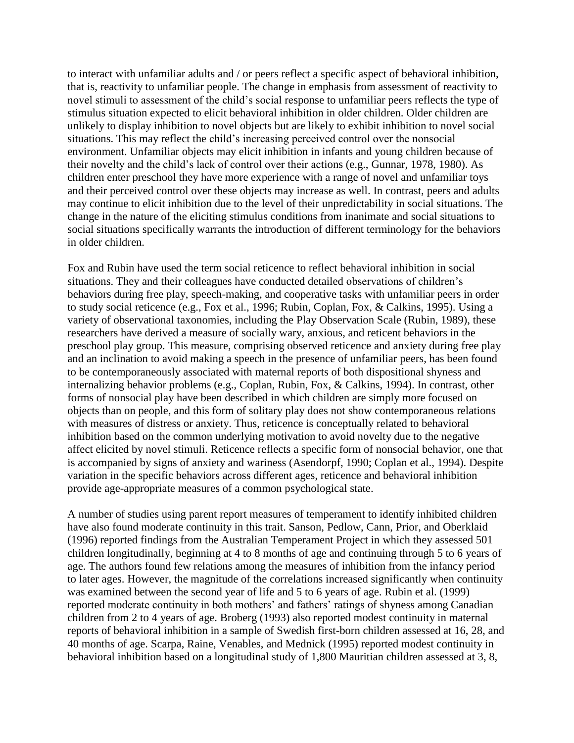to interact with unfamiliar adults and / or peers reflect a specific aspect of behavioral inhibition, that is, reactivity to unfamiliar people. The change in emphasis from assessment of reactivity to novel stimuli to assessment of the child's social response to unfamiliar peers reflects the type of stimulus situation expected to elicit behavioral inhibition in older children. Older children are unlikely to display inhibition to novel objects but are likely to exhibit inhibition to novel social situations. This may reflect the child's increasing perceived control over the nonsocial environment. Unfamiliar objects may elicit inhibition in infants and young children because of their novelty and the child's lack of control over their actions (e.g., Gunnar, 1978, 1980). As children enter preschool they have more experience with a range of novel and unfamiliar toys and their perceived control over these objects may increase as well. In contrast, peers and adults may continue to elicit inhibition due to the level of their unpredictability in social situations. The change in the nature of the eliciting stimulus conditions from inanimate and social situations to social situations specifically warrants the introduction of different terminology for the behaviors in older children.

Fox and Rubin have used the term social reticence to reflect behavioral inhibition in social situations. They and their colleagues have conducted detailed observations of children's behaviors during free play, speech-making, and cooperative tasks with unfamiliar peers in order to study social reticence (e.g., Fox et al., 1996; Rubin, Coplan, Fox, & Calkins, 1995). Using a variety of observational taxonomies, including the Play Observation Scale (Rubin, 1989), these researchers have derived a measure of socially wary, anxious, and reticent behaviors in the preschool play group. This measure, comprising observed reticence and anxiety during free play and an inclination to avoid making a speech in the presence of unfamiliar peers, has been found to be contemporaneously associated with maternal reports of both dispositional shyness and internalizing behavior problems (e.g., Coplan, Rubin, Fox, & Calkins, 1994). In contrast, other forms of nonsocial play have been described in which children are simply more focused on objects than on people, and this form of solitary play does not show contemporaneous relations with measures of distress or anxiety. Thus, reticence is conceptually related to behavioral inhibition based on the common underlying motivation to avoid novelty due to the negative affect elicited by novel stimuli. Reticence reflects a specific form of nonsocial behavior, one that is accompanied by signs of anxiety and wariness (Asendorpf, 1990; Coplan et al., 1994). Despite variation in the specific behaviors across different ages, reticence and behavioral inhibition provide age-appropriate measures of a common psychological state.

A number of studies using parent report measures of temperament to identify inhibited children have also found moderate continuity in this trait. Sanson, Pedlow, Cann, Prior, and Oberklaid (1996) reported findings from the Australian Temperament Project in which they assessed 501 children longitudinally, beginning at 4 to 8 months of age and continuing through 5 to 6 years of age. The authors found few relations among the measures of inhibition from the infancy period to later ages. However, the magnitude of the correlations increased significantly when continuity was examined between the second year of life and 5 to 6 years of age. Rubin et al. (1999) reported moderate continuity in both mothers' and fathers' ratings of shyness among Canadian children from 2 to 4 years of age. Broberg (1993) also reported modest continuity in maternal reports of behavioral inhibition in a sample of Swedish first-born children assessed at 16, 28, and 40 months of age. Scarpa, Raine, Venables, and Mednick (1995) reported modest continuity in behavioral inhibition based on a longitudinal study of 1,800 Mauritian children assessed at 3, 8,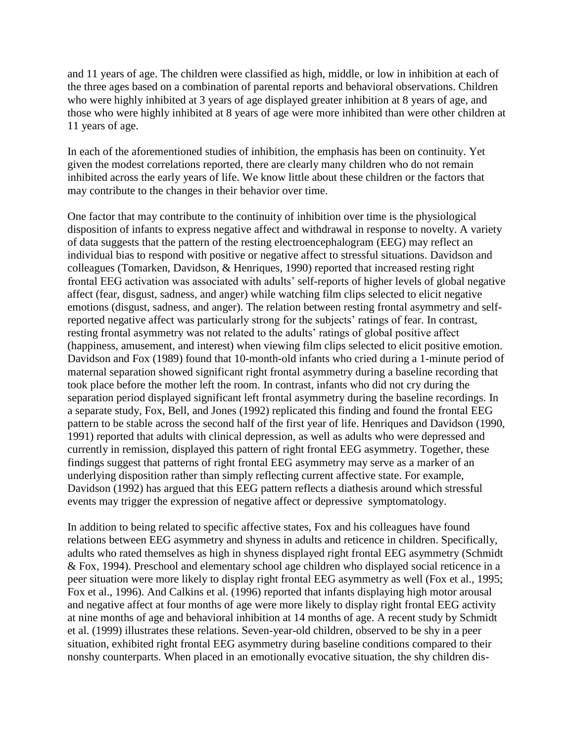and 11 years of age. The children were classified as high, middle, or low in inhibition at each of the three ages based on a combination of parental reports and behavioral observations. Children who were highly inhibited at 3 years of age displayed greater inhibition at 8 years of age, and those who were highly inhibited at 8 years of age were more inhibited than were other children at 11 years of age.

In each of the aforementioned studies of inhibition, the emphasis has been on continuity. Yet given the modest correlations reported, there are clearly many children who do not remain inhibited across the early years of life. We know little about these children or the factors that may contribute to the changes in their behavior over time.

One factor that may contribute to the continuity of inhibition over time is the physiological disposition of infants to express negative affect and withdrawal in response to novelty. A variety of data suggests that the pattern of the resting electroencephalogram (EEG) may reflect an individual bias to respond with positive or negative affect to stressful situations. Davidson and colleagues (Tomarken, Davidson, & Henriques, 1990) reported that increased resting right frontal EEG activation was associated with adults' self-reports of higher levels of global negative affect (fear, disgust, sadness, and anger) while watching film clips selected to elicit negative emotions (disgust, sadness, and anger). The relation between resting frontal asymmetry and selfreported negative affect was particularly strong for the subjects' ratings of fear. In contrast, resting frontal asymmetry was not related to the adults' ratings of global positive affect (happiness, amusement, and interest) when viewing film clips selected to elicit positive emotion. Davidson and Fox (1989) found that 10-month-old infants who cried during a 1-minute period of maternal separation showed significant right frontal asymmetry during a baseline recording that took place before the mother left the room. In contrast, infants who did not cry during the separation period displayed significant left frontal asymmetry during the baseline recordings. In a separate study, Fox, Bell, and Jones (1992) replicated this finding and found the frontal EEG pattern to be stable across the second half of the first year of life. Henriques and Davidson (1990, 1991) reported that adults with clinical depression, as well as adults who were depressed and currently in remission, displayed this pattern of right frontal EEG asymmetry. Together, these findings suggest that patterns of right frontal EEG asymmetry may serve as a marker of an underlying disposition rather than simply reflecting current affective state. For example, Davidson (1992) has argued that this EEG pattern reflects a diathesis around which stressful events may trigger the expression of negative affect or depressive symptomatology.

In addition to being related to specific affective states, Fox and his colleagues have found relations between EEG asymmetry and shyness in adults and reticence in children. Specifically, adults who rated themselves as high in shyness displayed right frontal EEG asymmetry (Schmidt & Fox, 1994). Preschool and elementary school age children who displayed social reticence in a peer situation were more likely to display right frontal EEG asymmetry as well (Fox et al., 1995; Fox et al., 1996). And Calkins et al. (1996) reported that infants displaying high motor arousal and negative affect at four months of age were more likely to display right frontal EEG activity at nine months of age and behavioral inhibition at 14 months of age. A recent study by Schmidt et al. (1999) illustrates these relations. Seven-year-old children, observed to be shy in a peer situation, exhibited right frontal EEG asymmetry during baseline conditions compared to their nonshy counterparts. When placed in an emotionally evocative situation, the shy children dis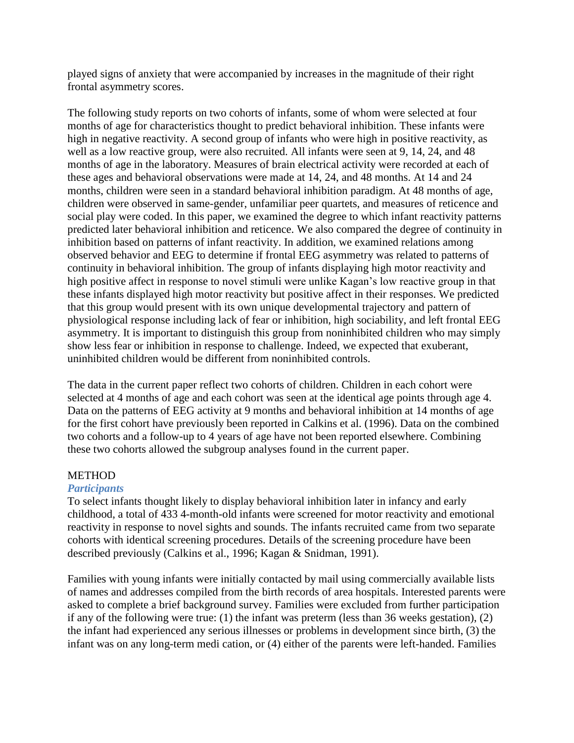played signs of anxiety that were accompanied by increases in the magnitude of their right frontal asymmetry scores.

The following study reports on two cohorts of infants, some of whom were selected at four months of age for characteristics thought to predict behavioral inhibition. These infants were high in negative reactivity. A second group of infants who were high in positive reactivity, as well as a low reactive group, were also recruited. All infants were seen at 9, 14, 24, and 48 months of age in the laboratory. Measures of brain electrical activity were recorded at each of these ages and behavioral observations were made at 14, 24, and 48 months. At 14 and 24 months, children were seen in a standard behavioral inhibition paradigm. At 48 months of age, children were observed in same-gender, unfamiliar peer quartets, and measures of reticence and social play were coded. In this paper, we examined the degree to which infant reactivity patterns predicted later behavioral inhibition and reticence. We also compared the degree of continuity in inhibition based on patterns of infant reactivity. In addition, we examined relations among observed behavior and EEG to determine if frontal EEG asymmetry was related to patterns of continuity in behavioral inhibition. The group of infants displaying high motor reactivity and high positive affect in response to novel stimuli were unlike Kagan's low reactive group in that these infants displayed high motor reactivity but positive affect in their responses. We predicted that this group would present with its own unique developmental trajectory and pattern of physiological response including lack of fear or inhibition, high sociability, and left frontal EEG asymmetry. It is important to distinguish this group from noninhibited children who may simply show less fear or inhibition in response to challenge. Indeed, we expected that exuberant, uninhibited children would be different from noninhibited controls.

The data in the current paper reflect two cohorts of children. Children in each cohort were selected at 4 months of age and each cohort was seen at the identical age points through age 4. Data on the patterns of EEG activity at 9 months and behavioral inhibition at 14 months of age for the first cohort have previously been reported in Calkins et al. (1996). Data on the combined two cohorts and a follow-up to 4 years of age have not been reported elsewhere. Combining these two cohorts allowed the subgroup analyses found in the current paper.

# METHOD

# *Participants*

To select infants thought likely to display behavioral inhibition later in infancy and early childhood, a total of 433 4-month-old infants were screened for motor reactivity and emotional reactivity in response to novel sights and sounds. The infants recruited came from two separate cohorts with identical screening procedures. Details of the screening procedure have been described previously (Calkins et al., 1996; Kagan & Snidman, 1991).

Families with young infants were initially contacted by mail using commercially available lists of names and addresses compiled from the birth records of area hospitals. Interested parents were asked to complete a brief background survey. Families were excluded from further participation if any of the following were true: (1) the infant was preterm (less than 36 weeks gestation), (2) the infant had experienced any serious illnesses or problems in development since birth, (3) the infant was on any long-term medi cation, or (4) either of the parents were left-handed. Families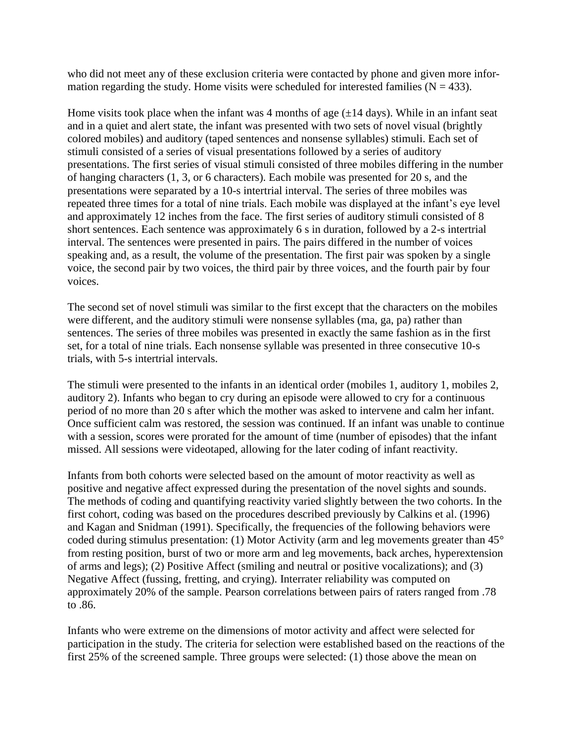who did not meet any of these exclusion criteria were contacted by phone and given more information regarding the study. Home visits were scheduled for interested families ( $N = 433$ ).

Home visits took place when the infant was 4 months of age  $(\pm 14 \text{ days})$ . While in an infant seat and in a quiet and alert state, the infant was presented with two sets of novel visual (brightly colored mobiles) and auditory (taped sentences and nonsense syllables) stimuli. Each set of stimuli consisted of a series of visual presentations followed by a series of auditory presentations. The first series of visual stimuli consisted of three mobiles differing in the number of hanging characters (1, 3, or 6 characters). Each mobile was presented for 20 s, and the presentations were separated by a 10-s intertrial interval. The series of three mobiles was repeated three times for a total of nine trials. Each mobile was displayed at the infant's eye level and approximately 12 inches from the face. The first series of auditory stimuli consisted of 8 short sentences. Each sentence was approximately 6 s in duration, followed by a 2-s intertrial interval. The sentences were presented in pairs. The pairs differed in the number of voices speaking and, as a result, the volume of the presentation. The first pair was spoken by a single voice, the second pair by two voices, the third pair by three voices, and the fourth pair by four voices.

The second set of novel stimuli was similar to the first except that the characters on the mobiles were different, and the auditory stimuli were nonsense syllables (ma, ga, pa) rather than sentences. The series of three mobiles was presented in exactly the same fashion as in the first set, for a total of nine trials. Each nonsense syllable was presented in three consecutive 10-s trials, with 5-s intertrial intervals.

The stimuli were presented to the infants in an identical order (mobiles 1, auditory 1, mobiles 2, auditory 2). Infants who began to cry during an episode were allowed to cry for a continuous period of no more than 20 s after which the mother was asked to intervene and calm her infant. Once sufficient calm was restored, the session was continued. If an infant was unable to continue with a session, scores were prorated for the amount of time (number of episodes) that the infant missed. All sessions were videotaped, allowing for the later coding of infant reactivity.

Infants from both cohorts were selected based on the amount of motor reactivity as well as positive and negative affect expressed during the presentation of the novel sights and sounds. The methods of coding and quantifying reactivity varied slightly between the two cohorts. In the first cohort, coding was based on the procedures described previously by Calkins et al. (1996) and Kagan and Snidman (1991). Specifically, the frequencies of the following behaviors were coded during stimulus presentation: (1) Motor Activity (arm and leg movements greater than 45° from resting position, burst of two or more arm and leg movements, back arches, hyperextension of arms and legs); (2) Positive Affect (smiling and neutral or positive vocalizations); and (3) Negative Affect (fussing, fretting, and crying). Interrater reliability was computed on approximately 20% of the sample. Pearson correlations between pairs of raters ranged from .78 to .86.

Infants who were extreme on the dimensions of motor activity and affect were selected for participation in the study. The criteria for selection were established based on the reactions of the first 25% of the screened sample. Three groups were selected: (1) those above the mean on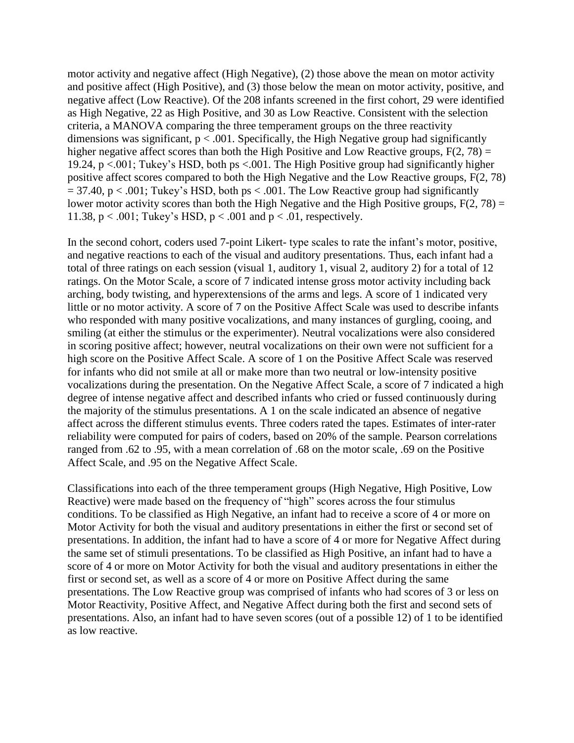motor activity and negative affect (High Negative), (2) those above the mean on motor activity and positive affect (High Positive), and (3) those below the mean on motor activity, positive, and negative affect (Low Reactive). Of the 208 infants screened in the first cohort, 29 were identified as High Negative, 22 as High Positive, and 30 as Low Reactive. Consistent with the selection criteria, a MANOVA comparing the three temperament groups on the three reactivity dimensions was significant,  $p < .001$ . Specifically, the High Negative group had significantly higher negative affect scores than both the High Positive and Low Reactive groups,  $F(2, 78) =$ 19.24, p <.001; Tukey's HSD, both ps <.001. The High Positive group had significantly higher positive affect scores compared to both the High Negative and the Low Reactive groups, F(2, 78)  $= 37.40$ , p < .001; Tukey's HSD, both ps < .001. The Low Reactive group had significantly lower motor activity scores than both the High Negative and the High Positive groups,  $F(2, 78) =$ 11.38,  $p < .001$ ; Tukey's HSD,  $p < .001$  and  $p < .01$ , respectively.

In the second cohort, coders used 7-point Likert- type scales to rate the infant's motor, positive, and negative reactions to each of the visual and auditory presentations. Thus, each infant had a total of three ratings on each session (visual 1, auditory 1, visual 2, auditory 2) for a total of 12 ratings. On the Motor Scale, a score of 7 indicated intense gross motor activity including back arching, body twisting, and hyperextensions of the arms and legs. A score of 1 indicated very little or no motor activity. A score of 7 on the Positive Affect Scale was used to describe infants who responded with many positive vocalizations, and many instances of gurgling, cooing, and smiling (at either the stimulus or the experimenter). Neutral vocalizations were also considered in scoring positive affect; however, neutral vocalizations on their own were not sufficient for a high score on the Positive Affect Scale. A score of 1 on the Positive Affect Scale was reserved for infants who did not smile at all or make more than two neutral or low-intensity positive vocalizations during the presentation. On the Negative Affect Scale, a score of 7 indicated a high degree of intense negative affect and described infants who cried or fussed continuously during the majority of the stimulus presentations. A 1 on the scale indicated an absence of negative affect across the different stimulus events. Three coders rated the tapes. Estimates of inter-rater reliability were computed for pairs of coders, based on 20% of the sample. Pearson correlations ranged from .62 to .95, with a mean correlation of .68 on the motor scale, .69 on the Positive Affect Scale, and .95 on the Negative Affect Scale.

Classifications into each of the three temperament groups (High Negative, High Positive, Low Reactive) were made based on the frequency of "high" scores across the four stimulus conditions. To be classified as High Negative, an infant had to receive a score of 4 or more on Motor Activity for both the visual and auditory presentations in either the first or second set of presentations. In addition, the infant had to have a score of 4 or more for Negative Affect during the same set of stimuli presentations. To be classified as High Positive, an infant had to have a score of 4 or more on Motor Activity for both the visual and auditory presentations in either the first or second set, as well as a score of 4 or more on Positive Affect during the same presentations. The Low Reactive group was comprised of infants who had scores of 3 or less on Motor Reactivity, Positive Affect, and Negative Affect during both the first and second sets of presentations. Also, an infant had to have seven scores (out of a possible 12) of 1 to be identified as low reactive.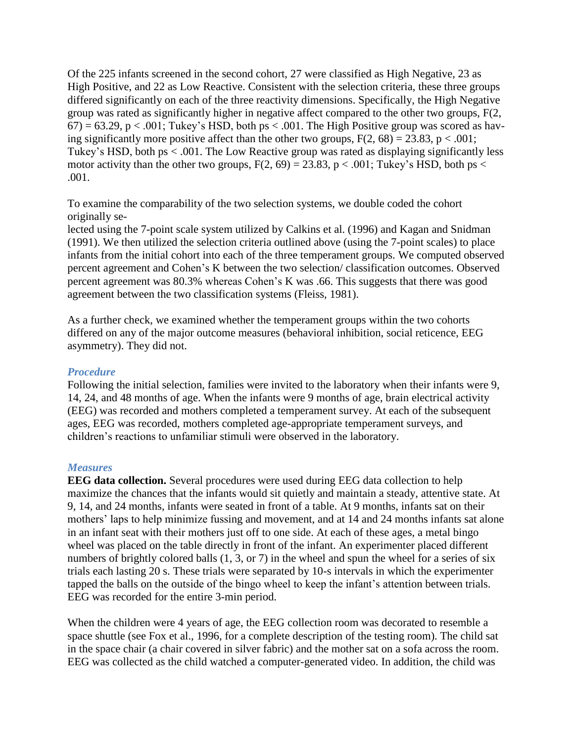Of the 225 infants screened in the second cohort, 27 were classified as High Negative, 23 as High Positive, and 22 as Low Reactive. Consistent with the selection criteria, these three groups differed significantly on each of the three reactivity dimensions. Specifically, the High Negative group was rated as significantly higher in negative affect compared to the other two groups, F(2,  $67$ ) = 63.29, p < .001; Tukey's HSD, both ps < .001. The High Positive group was scored as having significantly more positive affect than the other two groups,  $F(2, 68) = 23.83$ ,  $p < .001$ ; Tukey's HSD, both ps < .001. The Low Reactive group was rated as displaying significantly less motor activity than the other two groups,  $F(2, 69) = 23.83$ ,  $p < .001$ ; Tukey's HSD, both ps < .001.

To examine the comparability of the two selection systems, we double coded the cohort originally se-

lected using the 7-point scale system utilized by Calkins et al. (1996) and Kagan and Snidman (1991). We then utilized the selection criteria outlined above (using the 7-point scales) to place infants from the initial cohort into each of the three temperament groups. We computed observed percent agreement and Cohen's K between the two selection/ classification outcomes. Observed percent agreement was 80.3% whereas Cohen's K was .66. This suggests that there was good agreement between the two classification systems (Fleiss, 1981).

As a further check, we examined whether the temperament groups within the two cohorts differed on any of the major outcome measures (behavioral inhibition, social reticence, EEG asymmetry). They did not.

### *Procedure*

Following the initial selection, families were invited to the laboratory when their infants were 9, 14, 24, and 48 months of age. When the infants were 9 months of age, brain electrical activity (EEG) was recorded and mothers completed a temperament survey. At each of the subsequent ages, EEG was recorded, mothers completed age-appropriate temperament surveys, and children's reactions to unfamiliar stimuli were observed in the laboratory.

#### *Measures*

**EEG data collection.** Several procedures were used during EEG data collection to help maximize the chances that the infants would sit quietly and maintain a steady, attentive state. At 9, 14, and 24 months, infants were seated in front of a table. At 9 months, infants sat on their mothers' laps to help minimize fussing and movement, and at 14 and 24 months infants sat alone in an infant seat with their mothers just off to one side. At each of these ages, a metal bingo wheel was placed on the table directly in front of the infant. An experimenter placed different numbers of brightly colored balls  $(1, 3, or 7)$  in the wheel and spun the wheel for a series of six trials each lasting 20 s. These trials were separated by 10-s intervals in which the experimenter tapped the balls on the outside of the bingo wheel to keep the infant's attention between trials. EEG was recorded for the entire 3-min period.

When the children were 4 years of age, the EEG collection room was decorated to resemble a space shuttle (see Fox et al., 1996, for a complete description of the testing room). The child sat in the space chair (a chair covered in silver fabric) and the mother sat on a sofa across the room. EEG was collected as the child watched a computer-generated video. In addition, the child was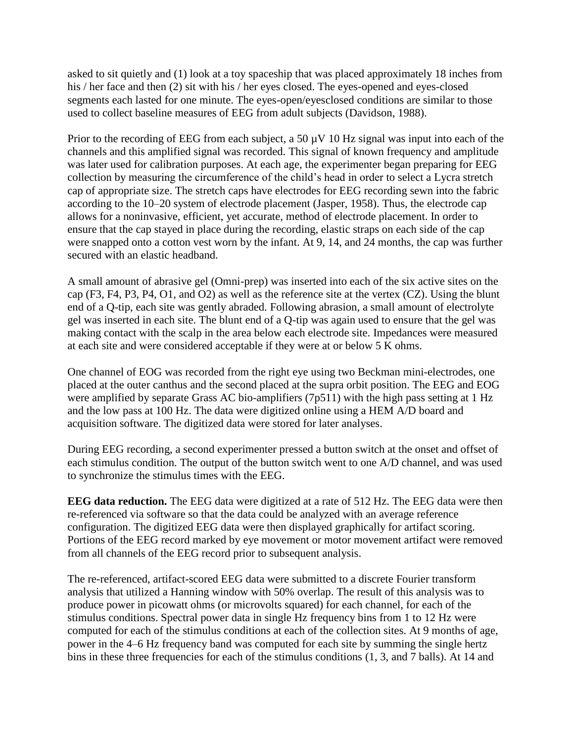asked to sit quietly and (1) look at a toy spaceship that was placed approximately 18 inches from his / her face and then (2) sit with his / her eyes closed. The eyes-opened and eyes-closed segments each lasted for one minute. The eyes-open/eyesclosed conditions are similar to those used to collect baseline measures of EEG from adult subjects (Davidson, 1988).

Prior to the recording of EEG from each subject, a 50  $\mu$ V 10 Hz signal was input into each of the channels and this amplified signal was recorded. This signal of known frequency and amplitude was later used for calibration purposes. At each age, the experimenter began preparing for EEG collection by measuring the circumference of the child's head in order to select a Lycra stretch cap of appropriate size. The stretch caps have electrodes for EEG recording sewn into the fabric according to the 10–20 system of electrode placement (Jasper, 1958). Thus, the electrode cap allows for a noninvasive, efficient, yet accurate, method of electrode placement. In order to ensure that the cap stayed in place during the recording, elastic straps on each side of the cap were snapped onto a cotton vest worn by the infant. At 9, 14, and 24 months, the cap was further secured with an elastic headband.

A small amount of abrasive gel (Omni-prep) was inserted into each of the six active sites on the cap (F3, F4, P3, P4, O1, and O2) as well as the reference site at the vertex (CZ). Using the blunt end of a Q-tip, each site was gently abraded. Following abrasion, a small amount of electrolyte gel was inserted in each site. The blunt end of a Q-tip was again used to ensure that the gel was making contact with the scalp in the area below each electrode site. Impedances were measured at each site and were considered acceptable if they were at or below 5 K ohms.

One channel of EOG was recorded from the right eye using two Beckman mini-electrodes, one placed at the outer canthus and the second placed at the supra orbit position. The EEG and EOG were amplified by separate Grass AC bio-amplifiers (7p511) with the high pass setting at 1 Hz and the low pass at 100 Hz. The data were digitized online using a HEM A/D board and acquisition software. The digitized data were stored for later analyses.

During EEG recording, a second experimenter pressed a button switch at the onset and offset of each stimulus condition. The output of the button switch went to one A/D channel, and was used to synchronize the stimulus times with the EEG.

**EEG data reduction.** The EEG data were digitized at a rate of 512 Hz. The EEG data were then re-referenced via software so that the data could be analyzed with an average reference configuration. The digitized EEG data were then displayed graphically for artifact scoring. Portions of the EEG record marked by eye movement or motor movement artifact were removed from all channels of the EEG record prior to subsequent analysis.

The re-referenced, artifact-scored EEG data were submitted to a discrete Fourier transform analysis that utilized a Hanning window with 50% overlap. The result of this analysis was to produce power in picowatt ohms (or microvolts squared) for each channel, for each of the stimulus conditions. Spectral power data in single Hz frequency bins from 1 to 12 Hz were computed for each of the stimulus conditions at each of the collection sites. At 9 months of age, power in the 4–6 Hz frequency band was computed for each site by summing the single hertz bins in these three frequencies for each of the stimulus conditions  $(1, 3, \text{ and } 7 \text{ balls})$ . At 14 and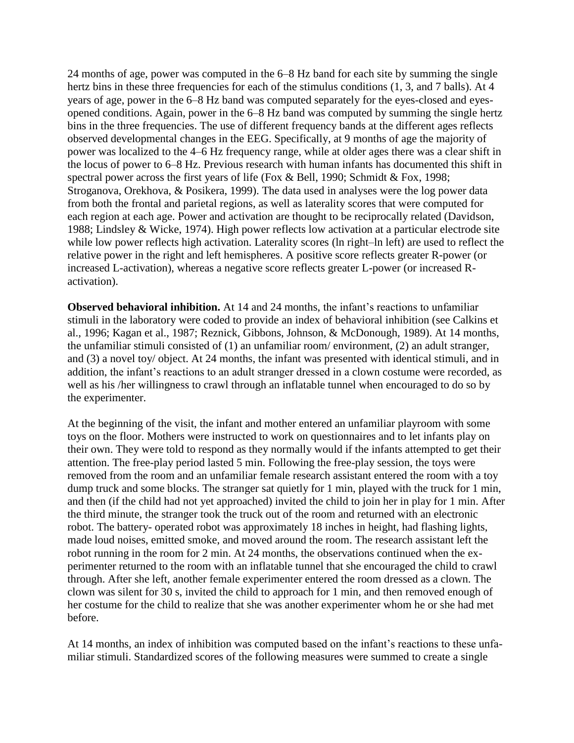24 months of age, power was computed in the 6–8 Hz band for each site by summing the single hertz bins in these three frequencies for each of the stimulus conditions  $(1, 3, \text{ and } 7 \text{ balls})$ . At 4 years of age, power in the 6–8 Hz band was computed separately for the eyes-closed and eyesopened conditions. Again, power in the 6–8 Hz band was computed by summing the single hertz bins in the three frequencies. The use of different frequency bands at the different ages reflects observed developmental changes in the EEG. Specifically, at 9 months of age the majority of power was localized to the 4–6 Hz frequency range, while at older ages there was a clear shift in the locus of power to 6–8 Hz. Previous research with human infants has documented this shift in spectral power across the first years of life (Fox & Bell, 1990; Schmidt & Fox, 1998; Stroganova, Orekhova, & Posikera, 1999). The data used in analyses were the log power data from both the frontal and parietal regions, as well as laterality scores that were computed for each region at each age. Power and activation are thought to be reciprocally related (Davidson, 1988; Lindsley & Wicke, 1974). High power reflects low activation at a particular electrode site while low power reflects high activation. Laterality scores (ln right–ln left) are used to reflect the relative power in the right and left hemispheres. A positive score reflects greater R-power (or increased L-activation), whereas a negative score reflects greater L-power (or increased Ractivation).

**Observed behavioral inhibition.** At 14 and 24 months, the infant's reactions to unfamiliar stimuli in the laboratory were coded to provide an index of behavioral inhibition (see Calkins et al., 1996; Kagan et al., 1987; Reznick, Gibbons, Johnson, & McDonough, 1989). At 14 months, the unfamiliar stimuli consisted of (1) an unfamiliar room/ environment, (2) an adult stranger, and (3) a novel toy/ object. At 24 months, the infant was presented with identical stimuli, and in addition, the infant's reactions to an adult stranger dressed in a clown costume were recorded, as well as his /her willingness to crawl through an inflatable tunnel when encouraged to do so by the experimenter.

At the beginning of the visit, the infant and mother entered an unfamiliar playroom with some toys on the floor. Mothers were instructed to work on questionnaires and to let infants play on their own. They were told to respond as they normally would if the infants attempted to get their attention. The free-play period lasted 5 min. Following the free-play session, the toys were removed from the room and an unfamiliar female research assistant entered the room with a toy dump truck and some blocks. The stranger sat quietly for 1 min, played with the truck for 1 min, and then (if the child had not yet approached) invited the child to join her in play for 1 min. After the third minute, the stranger took the truck out of the room and returned with an electronic robot. The battery- operated robot was approximately 18 inches in height, had flashing lights, made loud noises, emitted smoke, and moved around the room. The research assistant left the robot running in the room for 2 min. At 24 months, the observations continued when the experimenter returned to the room with an inflatable tunnel that she encouraged the child to crawl through. After she left, another female experimenter entered the room dressed as a clown. The clown was silent for 30 s, invited the child to approach for 1 min, and then removed enough of her costume for the child to realize that she was another experimenter whom he or she had met before.

At 14 months, an index of inhibition was computed based on the infant's reactions to these unfamiliar stimuli. Standardized scores of the following measures were summed to create a single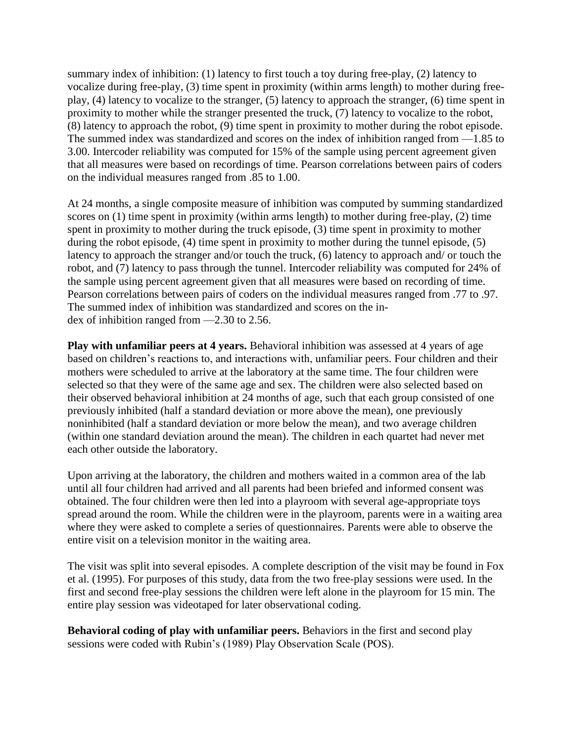summary index of inhibition: (1) latency to first touch a toy during free-play, (2) latency to vocalize during free-play, (3) time spent in proximity (within arms length) to mother during freeplay, (4) latency to vocalize to the stranger, (5) latency to approach the stranger, (6) time spent in proximity to mother while the stranger presented the truck, (7) latency to vocalize to the robot, (8) latency to approach the robot, (9) time spent in proximity to mother during the robot episode. The summed index was standardized and scores on the index of inhibition ranged from —1.85 to 3.00. Intercoder reliability was computed for 15% of the sample using percent agreement given that all measures were based on recordings of time. Pearson correlations between pairs of coders on the individual measures ranged from .85 to 1.00.

At 24 months, a single composite measure of inhibition was computed by summing standardized scores on (1) time spent in proximity (within arms length) to mother during free-play, (2) time spent in proximity to mother during the truck episode, (3) time spent in proximity to mother during the robot episode, (4) time spent in proximity to mother during the tunnel episode, (5) latency to approach the stranger and/or touch the truck, (6) latency to approach and/ or touch the robot, and (7) latency to pass through the tunnel. Intercoder reliability was computed for 24% of the sample using percent agreement given that all measures were based on recording of time. Pearson correlations between pairs of coders on the individual measures ranged from .77 to .97. The summed index of inhibition was standardized and scores on the index of inhibition ranged from —2.30 to 2.56.

**Play with unfamiliar peers at 4 years.** Behavioral inhibition was assessed at 4 years of age based on children's reactions to, and interactions with, unfamiliar peers. Four children and their mothers were scheduled to arrive at the laboratory at the same time. The four children were selected so that they were of the same age and sex. The children were also selected based on their observed behavioral inhibition at 24 months of age, such that each group consisted of one previously inhibited (half a standard deviation or more above the mean), one previously noninhibited (half a standard deviation or more below the mean), and two average children (within one standard deviation around the mean). The children in each quartet had never met each other outside the laboratory.

Upon arriving at the laboratory, the children and mothers waited in a common area of the lab until all four children had arrived and all parents had been briefed and informed consent was obtained. The four children were then led into a playroom with several age-appropriate toys spread around the room. While the children were in the playroom, parents were in a waiting area where they were asked to complete a series of questionnaires. Parents were able to observe the entire visit on a television monitor in the waiting area.

The visit was split into several episodes. A complete description of the visit may be found in Fox et al. (1995). For purposes of this study, data from the two free-play sessions were used. In the first and second free-play sessions the children were left alone in the playroom for 15 min. The entire play session was videotaped for later observational coding.

**Behavioral coding of play with unfamiliar peers.** Behaviors in the first and second play sessions were coded with Rubin's (1989) Play Observation Scale (POS).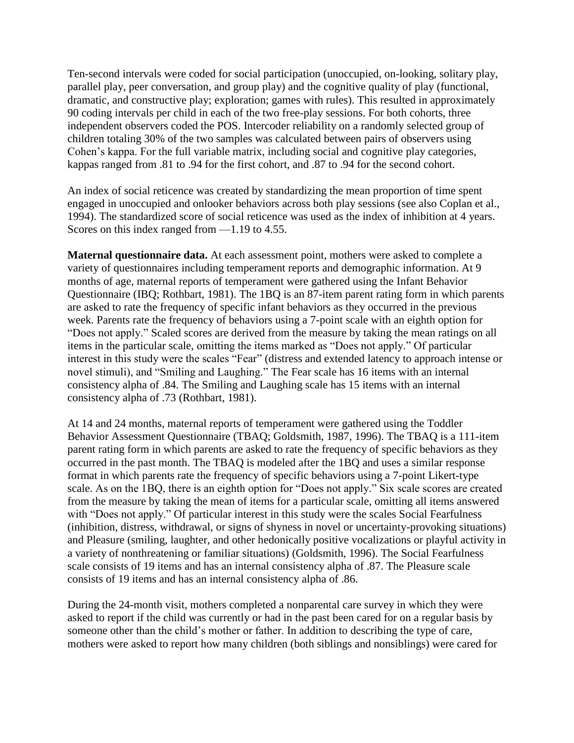Ten-second intervals were coded for social participation (unoccupied, on-looking, solitary play, parallel play, peer conversation, and group play) and the cognitive quality of play (functional, dramatic, and constructive play; exploration; games with rules). This resulted in approximately 90 coding intervals per child in each of the two free-play sessions. For both cohorts, three independent observers coded the POS. Intercoder reliability on a randomly selected group of children totaling 30% of the two samples was calculated between pairs of observers using Cohen's kappa. For the full variable matrix, including social and cognitive play categories, kappas ranged from .81 to .94 for the first cohort, and .87 to .94 for the second cohort.

An index of social reticence was created by standardizing the mean proportion of time spent engaged in unoccupied and onlooker behaviors across both play sessions (see also Coplan et al., 1994). The standardized score of social reticence was used as the index of inhibition at 4 years. Scores on this index ranged from  $-1.19$  to 4.55.

**Maternal questionnaire data.** At each assessment point, mothers were asked to complete a variety of questionnaires including temperament reports and demographic information. At 9 months of age, maternal reports of temperament were gathered using the Infant Behavior Questionnaire (IBQ; Rothbart, 1981). The 1BQ is an 87-item parent rating form in which parents are asked to rate the frequency of specific infant behaviors as they occurred in the previous week. Parents rate the frequency of behaviors using a 7-point scale with an eighth option for ―Does not apply.‖ Scaled scores are derived from the measure by taking the mean ratings on all items in the particular scale, omitting the items marked as "Does not apply." Of particular interest in this study were the scales "Fear" (distress and extended latency to approach intense or novel stimuli), and "Smiling and Laughing." The Fear scale has 16 items with an internal consistency alpha of .84. The Smiling and Laughing scale has 15 items with an internal consistency alpha of .73 (Rothbart, 1981).

At 14 and 24 months, maternal reports of temperament were gathered using the Toddler Behavior Assessment Questionnaire (TBAQ; Goldsmith, 1987, 1996). The TBAQ is a 111-item parent rating form in which parents are asked to rate the frequency of specific behaviors as they occurred in the past month. The TBAQ is modeled after the 1BQ and uses a similar response format in which parents rate the frequency of specific behaviors using a 7-point Likert-type scale. As on the 1BQ, there is an eighth option for "Does not apply." Six scale scores are created from the measure by taking the mean of items for a particular scale, omitting all items answered with "Does not apply." Of particular interest in this study were the scales Social Fearfulness (inhibition, distress, withdrawal, or signs of shyness in novel or uncertainty-provoking situations) and Pleasure (smiling, laughter, and other hedonically positive vocalizations or playful activity in a variety of nonthreatening or familiar situations) (Goldsmith, 1996). The Social Fearfulness scale consists of 19 items and has an internal consistency alpha of .87. The Pleasure scale consists of 19 items and has an internal consistency alpha of .86.

During the 24-month visit, mothers completed a nonparental care survey in which they were asked to report if the child was currently or had in the past been cared for on a regular basis by someone other than the child's mother or father. In addition to describing the type of care, mothers were asked to report how many children (both siblings and nonsiblings) were cared for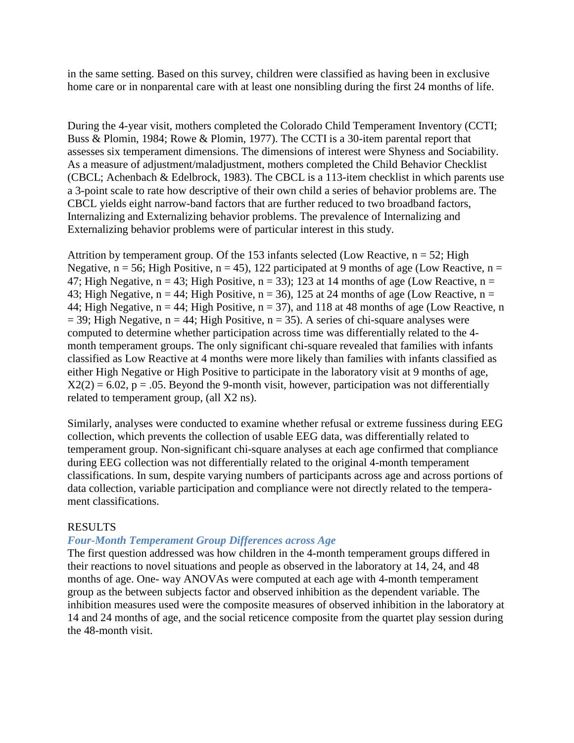in the same setting. Based on this survey, children were classified as having been in exclusive home care or in nonparental care with at least one nonsibling during the first 24 months of life.

During the 4-year visit, mothers completed the Colorado Child Temperament Inventory (CCTI; Buss & Plomin, 1984; Rowe & Plomin, 1977). The CCTI is a 30-item parental report that assesses six temperament dimensions. The dimensions of interest were Shyness and Sociability. As a measure of adjustment/maladjustment, mothers completed the Child Behavior Checklist (CBCL; Achenbach & Edelbrock, 1983). The CBCL is a 113-item checklist in which parents use a 3-point scale to rate how descriptive of their own child a series of behavior problems are. The CBCL yields eight narrow-band factors that are further reduced to two broadband factors, Internalizing and Externalizing behavior problems. The prevalence of Internalizing and Externalizing behavior problems were of particular interest in this study.

Attrition by temperament group. Of the 153 infants selected (Low Reactive,  $n = 52$ ; High Negative,  $n = 56$ ; High Positive,  $n = 45$ ), 122 participated at 9 months of age (Low Reactive,  $n =$ 47; High Negative,  $n = 43$ ; High Positive,  $n = 33$ ); 123 at 14 months of age (Low Reactive,  $n =$ 43; High Negative,  $n = 44$ ; High Positive,  $n = 36$ ), 125 at 24 months of age (Low Reactive,  $n =$ 44; High Negative,  $n = 44$ ; High Positive,  $n = 37$ ), and 118 at 48 months of age (Low Reactive, n  $= 39$ ; High Negative, n = 44; High Positive, n = 35). A series of chi-square analyses were computed to determine whether participation across time was differentially related to the 4 month temperament groups. The only significant chi-square revealed that families with infants classified as Low Reactive at 4 months were more likely than families with infants classified as either High Negative or High Positive to participate in the laboratory visit at 9 months of age,  $X2(2) = 6.02$ ,  $p = .05$ . Beyond the 9-month visit, however, participation was not differentially related to temperament group, (all X2 ns).

Similarly, analyses were conducted to examine whether refusal or extreme fussiness during EEG collection, which prevents the collection of usable EEG data, was differentially related to temperament group. Non-significant chi-square analyses at each age confirmed that compliance during EEG collection was not differentially related to the original 4-month temperament classifications. In sum, despite varying numbers of participants across age and across portions of data collection, variable participation and compliance were not directly related to the temperament classifications.

### RESULTS

### *Four-Month Temperament Group Differences across Age*

The first question addressed was how children in the 4-month temperament groups differed in their reactions to novel situations and people as observed in the laboratory at 14, 24, and 48 months of age. One- way ANOVAs were computed at each age with 4-month temperament group as the between subjects factor and observed inhibition as the dependent variable. The inhibition measures used were the composite measures of observed inhibition in the laboratory at 14 and 24 months of age, and the social reticence composite from the quartet play session during the 48-month visit.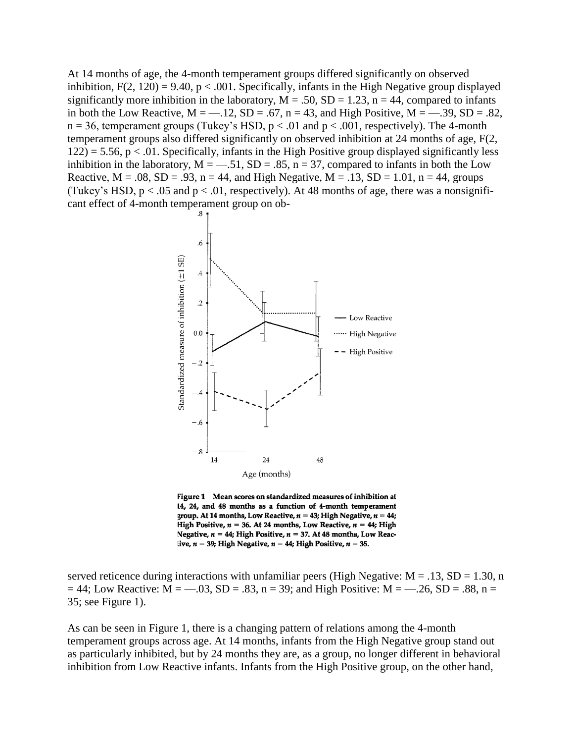At 14 months of age, the 4-month temperament groups differed significantly on observed inhibition,  $F(2, 120) = 9.40$ ,  $p < .001$ . Specifically, infants in the High Negative group displayed significantly more inhibition in the laboratory,  $M = .50$ ,  $SD = 1.23$ ,  $n = 44$ , compared to infants in both the Low Reactive,  $M = -12$ ,  $SD = .67$ ,  $n = 43$ , and High Positive,  $M = -0.39$ ,  $SD = .82$ ,  $n = 36$ , temperament groups (Tukey's HSD,  $p < .01$  and  $p < .001$ , respectively). The 4-month temperament groups also differed significantly on observed inhibition at 24 months of age, F(2,  $122$ ) = 5.56, p < .01. Specifically, infants in the High Positive group displayed significantly less inhibition in the laboratory,  $M = -.51$ ,  $SD = .85$ ,  $n = 37$ , compared to infants in both the Low Reactive,  $M = .08$ ,  $SD = .93$ ,  $n = 44$ , and High Negative,  $M = .13$ ,  $SD = 1.01$ ,  $n = 44$ , groups (Tukey's HSD,  $p < .05$  and  $p < .01$ , respectively). At 48 months of age, there was a nonsignificant effect of 4-month temperament group on ob-



Figure 1 Mean scores on standardized measures of inhibition at 14, 24, and 48 months as a function of 4-month temperament group. At 14 months, Low Reactive,  $n = 43$ ; High Negative,  $n = 44$ ; High Positive,  $n = 36$ . At 24 months, Low Reactive,  $n = 44$ ; High Negative,  $n = 44$ ; High Positive,  $n = 37$ . At 48 months, Low Reactive,  $n = 39$ ; High Negative,  $n = 44$ ; High Positive,  $n = 35$ .

served reticence during interactions with unfamiliar peers (High Negative:  $M = .13$ , SD = 1.30, n  $= 44$ ; Low Reactive: M = -0.03, SD = .83, n = 39; and High Positive: M = -0.26, SD = .88, n = 35; see Figure 1).

As can be seen in Figure 1, there is a changing pattern of relations among the 4-month temperament groups across age. At 14 months, infants from the High Negative group stand out as particularly inhibited, but by 24 months they are, as a group, no longer different in behavioral inhibition from Low Reactive infants. Infants from the High Positive group, on the other hand,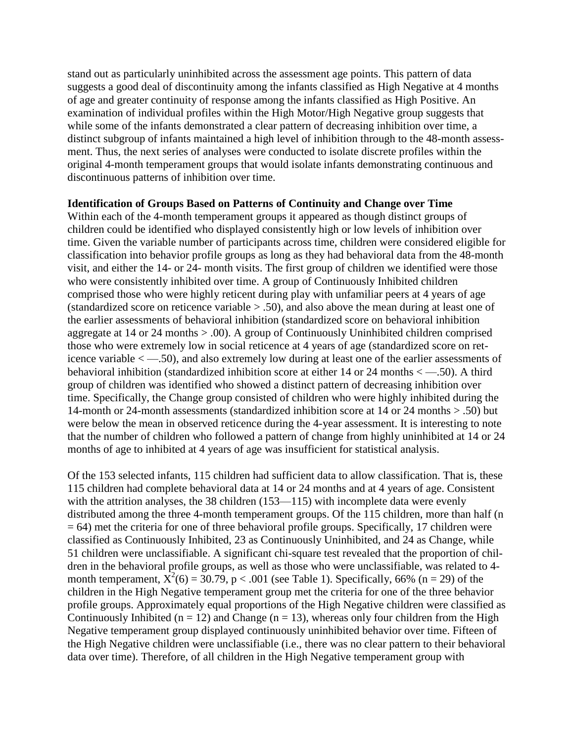stand out as particularly uninhibited across the assessment age points. This pattern of data suggests a good deal of discontinuity among the infants classified as High Negative at 4 months of age and greater continuity of response among the infants classified as High Positive. An examination of individual profiles within the High Motor/High Negative group suggests that while some of the infants demonstrated a clear pattern of decreasing inhibition over time, a distinct subgroup of infants maintained a high level of inhibition through to the 48-month assessment. Thus, the next series of analyses were conducted to isolate discrete profiles within the original 4-month temperament groups that would isolate infants demonstrating continuous and discontinuous patterns of inhibition over time.

#### **Identification of Groups Based on Patterns of Continuity and Change over Time**

Within each of the 4-month temperament groups it appeared as though distinct groups of children could be identified who displayed consistently high or low levels of inhibition over time. Given the variable number of participants across time, children were considered eligible for classification into behavior profile groups as long as they had behavioral data from the 48-month visit, and either the 14- or 24- month visits. The first group of children we identified were those who were consistently inhibited over time. A group of Continuously Inhibited children comprised those who were highly reticent during play with unfamiliar peers at 4 years of age (standardized score on reticence variable  $> 0.50$ ), and also above the mean during at least one of the earlier assessments of behavioral inhibition (standardized score on behavioral inhibition aggregate at 14 or 24 months > .00). A group of Continuously Uninhibited children comprised those who were extremely low in social reticence at 4 years of age (standardized score on reticence variable < —.50), and also extremely low during at least one of the earlier assessments of behavioral inhibition (standardized inhibition score at either 14 or 24 months < —.50). A third group of children was identified who showed a distinct pattern of decreasing inhibition over time. Specifically, the Change group consisted of children who were highly inhibited during the 14-month or 24-month assessments (standardized inhibition score at 14 or 24 months > .50) but were below the mean in observed reticence during the 4-year assessment. It is interesting to note that the number of children who followed a pattern of change from highly uninhibited at 14 or 24 months of age to inhibited at 4 years of age was insufficient for statistical analysis.

Of the 153 selected infants, 115 children had sufficient data to allow classification. That is, these 115 children had complete behavioral data at 14 or 24 months and at 4 years of age. Consistent with the attrition analyses, the 38 children (153—115) with incomplete data were evenly distributed among the three 4-month temperament groups. Of the 115 children, more than half (n  $= 64$ ) met the criteria for one of three behavioral profile groups. Specifically, 17 children were classified as Continuously Inhibited, 23 as Continuously Uninhibited, and 24 as Change, while 51 children were unclassifiable. A significant chi-square test revealed that the proportion of children in the behavioral profile groups, as well as those who were unclassifiable, was related to 4 month temperament,  $\overline{X}^2(6) = 30.79$ , p < .001 (see Table 1). Specifically, 66% (n = 29) of the children in the High Negative temperament group met the criteria for one of the three behavior profile groups. Approximately equal proportions of the High Negative children were classified as Continuously Inhibited ( $n = 12$ ) and Change ( $n = 13$ ), whereas only four children from the High Negative temperament group displayed continuously uninhibited behavior over time. Fifteen of the High Negative children were unclassifiable (i.e., there was no clear pattern to their behavioral data over time). Therefore, of all children in the High Negative temperament group with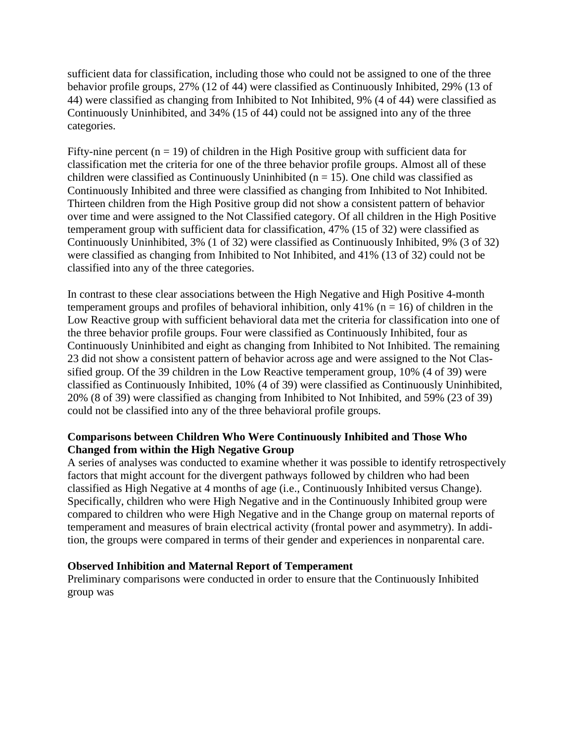sufficient data for classification, including those who could not be assigned to one of the three behavior profile groups, 27% (12 of 44) were classified as Continuously Inhibited, 29% (13 of 44) were classified as changing from Inhibited to Not Inhibited, 9% (4 of 44) were classified as Continuously Uninhibited, and 34% (15 of 44) could not be assigned into any of the three categories.

Fifty-nine percent ( $n = 19$ ) of children in the High Positive group with sufficient data for classification met the criteria for one of the three behavior profile groups. Almost all of these children were classified as Continuously Uninhibited ( $n = 15$ ). One child was classified as Continuously Inhibited and three were classified as changing from Inhibited to Not Inhibited. Thirteen children from the High Positive group did not show a consistent pattern of behavior over time and were assigned to the Not Classified category. Of all children in the High Positive temperament group with sufficient data for classification, 47% (15 of 32) were classified as Continuously Uninhibited, 3% (1 of 32) were classified as Continuously Inhibited, 9% (3 of 32) were classified as changing from Inhibited to Not Inhibited, and 41% (13 of 32) could not be classified into any of the three categories.

In contrast to these clear associations between the High Negative and High Positive 4-month temperament groups and profiles of behavioral inhibition, only 41% ( $n = 16$ ) of children in the Low Reactive group with sufficient behavioral data met the criteria for classification into one of the three behavior profile groups. Four were classified as Continuously Inhibited, four as Continuously Uninhibited and eight as changing from Inhibited to Not Inhibited. The remaining 23 did not show a consistent pattern of behavior across age and were assigned to the Not Classified group. Of the 39 children in the Low Reactive temperament group, 10% (4 of 39) were classified as Continuously Inhibited, 10% (4 of 39) were classified as Continuously Uninhibited, 20% (8 of 39) were classified as changing from Inhibited to Not Inhibited, and 59% (23 of 39) could not be classified into any of the three behavioral profile groups.

### **Comparisons between Children Who Were Continuously Inhibited and Those Who Changed from within the High Negative Group**

A series of analyses was conducted to examine whether it was possible to identify retrospectively factors that might account for the divergent pathways followed by children who had been classified as High Negative at 4 months of age (i.e., Continuously Inhibited versus Change). Specifically, children who were High Negative and in the Continuously Inhibited group were compared to children who were High Negative and in the Change group on maternal reports of temperament and measures of brain electrical activity (frontal power and asymmetry). In addition, the groups were compared in terms of their gender and experiences in nonparental care.

# **Observed Inhibition and Maternal Report of Temperament**

Preliminary comparisons were conducted in order to ensure that the Continuously Inhibited group was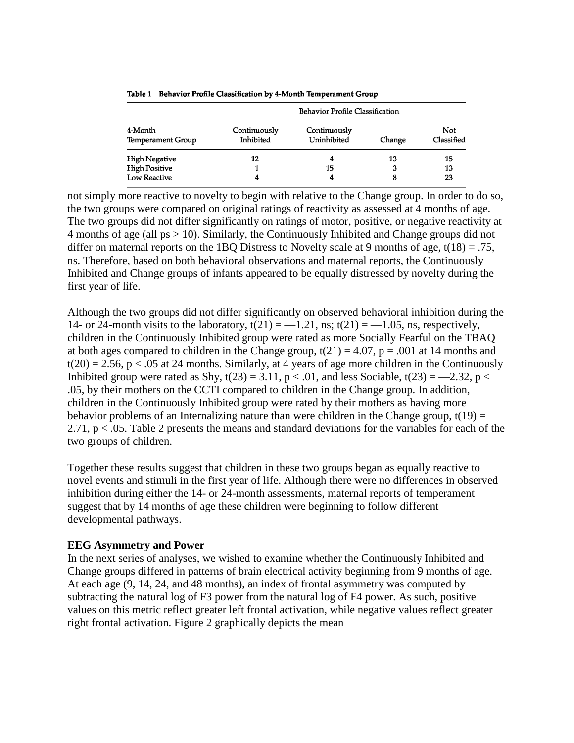|                              | Behavior Profile Classification |                             |        |                   |
|------------------------------|---------------------------------|-----------------------------|--------|-------------------|
| 4-Month<br>Temperament Group | Continuously<br>Inhibited       | Continuously<br>Uninhibited | Change | Not<br>Classified |
| High Negative                | 12                              |                             | 13     | 15                |
| <b>High Positive</b>         |                                 | 15                          |        | 13                |
| <b>Low Reactive</b>          |                                 |                             |        | 23                |

| Table 1     Behavior Profile Classification by 4-Month Temperament Group |  |  |
|--------------------------------------------------------------------------|--|--|

not simply more reactive to novelty to begin with relative to the Change group. In order to do so, the two groups were compared on original ratings of reactivity as assessed at 4 months of age. The two groups did not differ significantly on ratings of motor, positive, or negative reactivity at 4 months of age (all ps > 10). Similarly, the Continuously Inhibited and Change groups did not differ on maternal reports on the 1BQ Distress to Novelty scale at 9 months of age,  $t(18) = .75$ , ns. Therefore, based on both behavioral observations and maternal reports, the Continuously Inhibited and Change groups of infants appeared to be equally distressed by novelty during the first year of life.

Although the two groups did not differ significantly on observed behavioral inhibition during the 14- or 24-month visits to the laboratory,  $t(21) = -1.21$ , ns;  $t(21) = -1.05$ , ns, respectively, children in the Continuously Inhibited group were rated as more Socially Fearful on the TBAQ at both ages compared to children in the Change group,  $t(21) = 4.07$ ,  $p = .001$  at 14 months and  $t(20) = 2.56$ , p < .05 at 24 months. Similarly, at 4 years of age more children in the Continuously Inhibited group were rated as Shy,  $t(23) = 3.11$ ,  $p < .01$ , and less Sociable,  $t(23) = -2.32$ ,  $p <$ .05, by their mothers on the CCTI compared to children in the Change group. In addition, children in the Continuously Inhibited group were rated by their mothers as having more behavior problems of an Internalizing nature than were children in the Change group,  $t(19) =$ 2.71,  $p < 0.05$ . Table 2 presents the means and standard deviations for the variables for each of the two groups of children.

Together these results suggest that children in these two groups began as equally reactive to novel events and stimuli in the first year of life. Although there were no differences in observed inhibition during either the 14- or 24-month assessments, maternal reports of temperament suggest that by 14 months of age these children were beginning to follow different developmental pathways.

# **EEG Asymmetry and Power**

In the next series of analyses, we wished to examine whether the Continuously Inhibited and Change groups differed in patterns of brain electrical activity beginning from 9 months of age. At each age (9, 14, 24, and 48 months), an index of frontal asymmetry was computed by subtracting the natural log of F3 power from the natural log of F4 power. As such, positive values on this metric reflect greater left frontal activation, while negative values reflect greater right frontal activation. Figure 2 graphically depicts the mean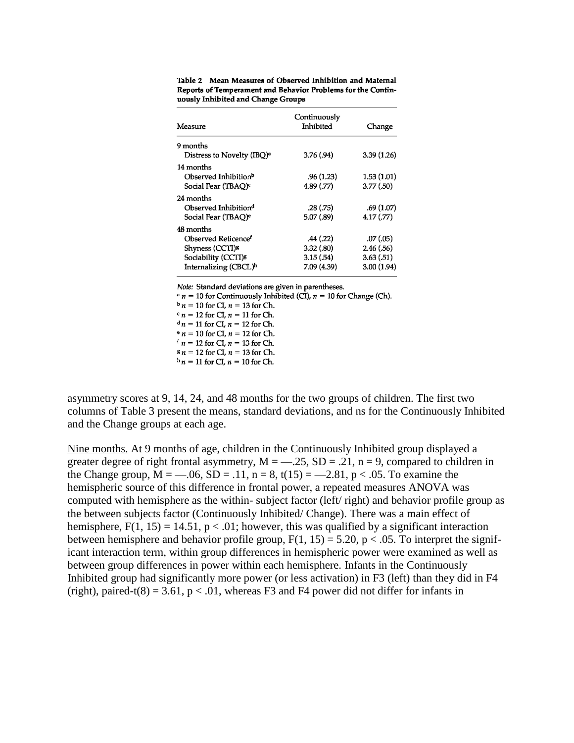| Measure                                | Continuously<br>Inhibited | Change     |
|----------------------------------------|---------------------------|------------|
| 9 months                               |                           |            |
| Distress to Novelty (IBQ) <sup>a</sup> | 3.76(.94)                 | 3.39(1.26) |
| 14 months                              |                           |            |
| Observed Inhibition <sup>b</sup>       | .96(1.23)                 | 1.53(1.01) |
| Social Fear (TBAO) <sup>c</sup>        | 4.89 (.77)                | 3.77(.50)  |
| 24 months                              |                           |            |
| Observed Inhibition <sup>d</sup>       | .28(.75)                  | .69(1.07)  |
| Social Fear (TBAO) <sup>e</sup>        | 5.07(.89)                 | 4.17(0.77) |
| 48 months                              |                           |            |
| Observed Reticence <sup>f</sup>        | .44(.22)                  | .07(0.05)  |
| Shyness (CCTI) <sup>8</sup>            | 3.32(.80)                 | 2.46(.56)  |
| Sociability (CCTI)8                    | 3.15(.54)                 | 3.63(.51)  |
| Internalizing (CBCL) <sup>h</sup>      | 7.09 (4.39)               | 3.00(1.94) |

Table 2 Mean Measures of Observed Inhibition and Maternal Reports of Temperament and Behavior Problems for the Continuously Inhibited and Change Groups

Note: Standard deviations are given in parentheses.

<sup>a</sup>  $n = 10$  for Continuously Inhibited (CI),  $n = 10$  for Change (Ch).

 $h_n = 10$  for CI,  $n = 13$  for Ch.  $c_n$  = 12 for CI,  $n = 11$  for Ch.  $d n = 11$  for CI,  $n = 12$  for Ch. <sup>e</sup>  $n = 10$  for CI,  $n = 12$  for Ch.  $n = 12$  for CI,  $n = 13$  for Ch.  $8 n = 12$  for CI,  $n = 13$  for Ch.  $h_n = 11$  for CI,  $n = 10$  for Ch.

asymmetry scores at 9, 14, 24, and 48 months for the two groups of children. The first two columns of Table 3 present the means, standard deviations, and ns for the Continuously Inhibited and the Change groups at each age.

Nine months. At 9 months of age, children in the Continuously Inhibited group displayed a greater degree of right frontal asymmetry,  $M = -.25$ ,  $SD = .21$ ,  $n = 9$ , compared to children in the Change group,  $M = -.06$ ,  $SD = .11$ ,  $n = 8$ ,  $t(15) = -2.81$ ,  $p < .05$ . To examine the hemispheric source of this difference in frontal power, a repeated measures ANOVA was computed with hemisphere as the within- subject factor (left/ right) and behavior profile group as the between subjects factor (Continuously Inhibited/ Change). There was a main effect of hemisphere,  $F(1, 15) = 14.51$ ,  $p < .01$ ; however, this was qualified by a significant interaction between hemisphere and behavior profile group,  $F(1, 15) = 5.20$ ,  $p < .05$ . To interpret the significant interaction term, within group differences in hemispheric power were examined as well as between group differences in power within each hemisphere. Infants in the Continuously Inhibited group had significantly more power (or less activation) in F3 (left) than they did in F4 (right), paired-t(8) = 3.61, p < .01, whereas F3 and F4 power did not differ for infants in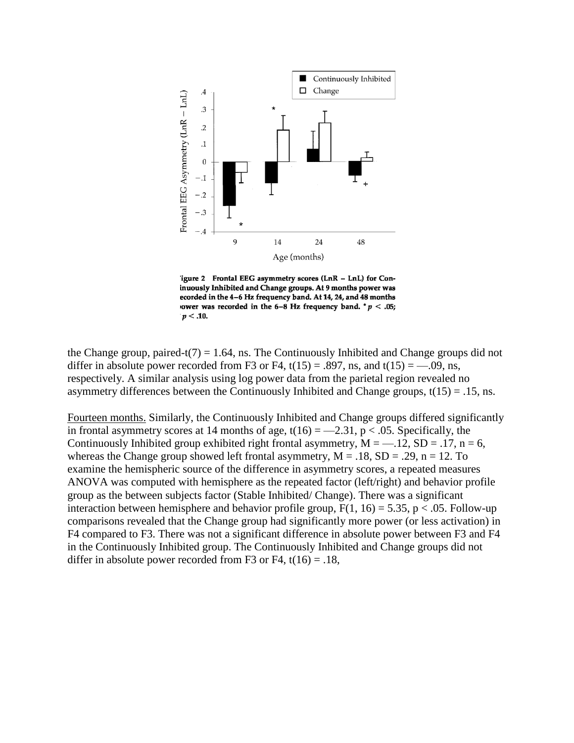

igure 2 Frontal EEG asymmetry scores (LnR - LnL) for Coninuously Inhibited and Change groups. At 9 months power was ecorded in the 4-6 Hz frequency band. At 14, 24, and 48 months ower was recorded in the 6–8 Hz frequency band.  $* p < .05$ ;  $p < .10.$ 

the Change group, paired-t(7) = 1.64, ns. The Continuously Inhibited and Change groups did not differ in absolute power recorded from F3 or F4,  $t(15) = .897$ , ns, and  $t(15) = -.09$ , ns, respectively. A similar analysis using log power data from the parietal region revealed no asymmetry differences between the Continuously Inhibited and Change groups,  $t(15) = .15$ , ns.

Fourteen months. Similarly, the Continuously Inhibited and Change groups differed significantly in frontal asymmetry scores at 14 months of age,  $t(16) = -2.31$ ,  $p < .05$ . Specifically, the Continuously Inhibited group exhibited right frontal asymmetry,  $M = -12$ ,  $SD = 0.17$ ,  $n = 6$ , whereas the Change group showed left frontal asymmetry,  $M = .18$ ,  $SD = .29$ ,  $n = 12$ . To examine the hemispheric source of the difference in asymmetry scores, a repeated measures ANOVA was computed with hemisphere as the repeated factor (left/right) and behavior profile group as the between subjects factor (Stable Inhibited/ Change). There was a significant interaction between hemisphere and behavior profile group,  $F(1, 16) = 5.35$ ,  $p < .05$ . Follow-up comparisons revealed that the Change group had significantly more power (or less activation) in F4 compared to F3. There was not a significant difference in absolute power between F3 and F4 in the Continuously Inhibited group. The Continuously Inhibited and Change groups did not differ in absolute power recorded from F3 or F4,  $t(16) = .18$ ,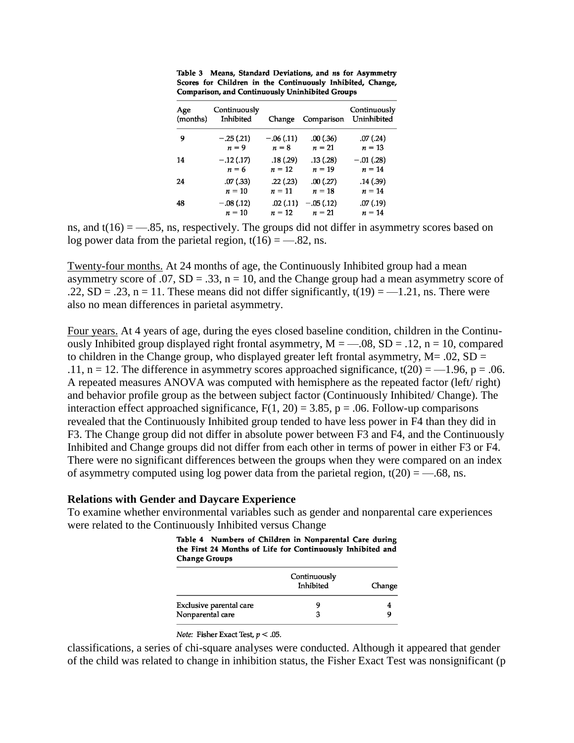| Age<br>(months) | Continuously<br>Inhibited | Change      | Comparison  | Continuously<br>Uninhibited |
|-----------------|---------------------------|-------------|-------------|-----------------------------|
| 9               | $-.25(.21)$               | $-.06(.11)$ | .00(.36)    | .07(.24)                    |
|                 | $n = 9$                   | $n = 8$     | $n = 21$    | $n = 13$                    |
| 14              | $-.12(.17)$               | .18(.29)    | .13(.28)    | $-.01(.28)$                 |
|                 | $n = 6$                   | $n=12$      | $n = 19$    | $n = 14$                    |
| 24              | .07(.33)                  | .22(.23)    | .00(0.27)   | .14(.39)                    |
|                 | $n=10$                    | $n = 11$    | $n=18$      | $n = 14$                    |
| 48              | $-.08(.12)$               | .02(.11)    | $-.05(.12)$ | .07(0.19)                   |
|                 | $n = 10$                  | $n=12$      | $n = 21$    | $n = 14$                    |

Table 3 Means, Standard Deviations, and ns for Asymmetry Scores for Children in the Continuously Inhibited, Change, Comparison, and Continuously Uninhibited Groups

ns, and  $t(16) = -.85$ , ns, respectively. The groups did not differ in asymmetry scores based on log power data from the parietal region,  $t(16) = -.82$ , ns.

Twenty-four months. At 24 months of age, the Continuously Inhibited group had a mean asymmetry score of .07,  $SD = .33$ ,  $n = 10$ , and the Change group had a mean asymmetry score of .22,  $SD = .23$ ,  $n = 11$ . These means did not differ significantly,  $t(19) = -1.21$ , ns. There were also no mean differences in parietal asymmetry.

Four years. At 4 years of age, during the eyes closed baseline condition, children in the Continuously Inhibited group displayed right frontal asymmetry,  $M = -.08$ ,  $SD = .12$ ,  $n = 10$ , compared to children in the Change group, who displayed greater left frontal asymmetry,  $M = .02$ ,  $SD =$ .11,  $n = 12$ . The difference in asymmetry scores approached significance,  $t(20) = -1.96$ ,  $p = .06$ . A repeated measures ANOVA was computed with hemisphere as the repeated factor (left/ right) and behavior profile group as the between subject factor (Continuously Inhibited/ Change). The interaction effect approached significance,  $F(1, 20) = 3.85$ ,  $p = .06$ . Follow-up comparisons revealed that the Continuously Inhibited group tended to have less power in F4 than they did in F3. The Change group did not differ in absolute power between F3 and F4, and the Continuously Inhibited and Change groups did not differ from each other in terms of power in either F3 or F4. There were no significant differences between the groups when they were compared on an index of asymmetry computed using log power data from the parietal region,  $t(20) = -.68$ , ns.

#### **Relations with Gender and Daycare Experience**

To examine whether environmental variables such as gender and nonparental care experiences were related to the Continuously Inhibited versus Change

| the First 24 Months of Life for Continuously Inhibited and<br>Change Groups |                           |        |  |
|-----------------------------------------------------------------------------|---------------------------|--------|--|
|                                                                             | Continuously<br>Inhibited | Change |  |
| Exclusive parental care                                                     |                           |        |  |
| Nonparental care                                                            | 3                         |        |  |

Table 4 Numbers of Children in Nonparental Care during

Note: Fisher Exact Test,  $p < .05$ .

classifications, a series of chi-square analyses were conducted. Although it appeared that gender of the child was related to change in inhibition status, the Fisher Exact Test was nonsignificant (p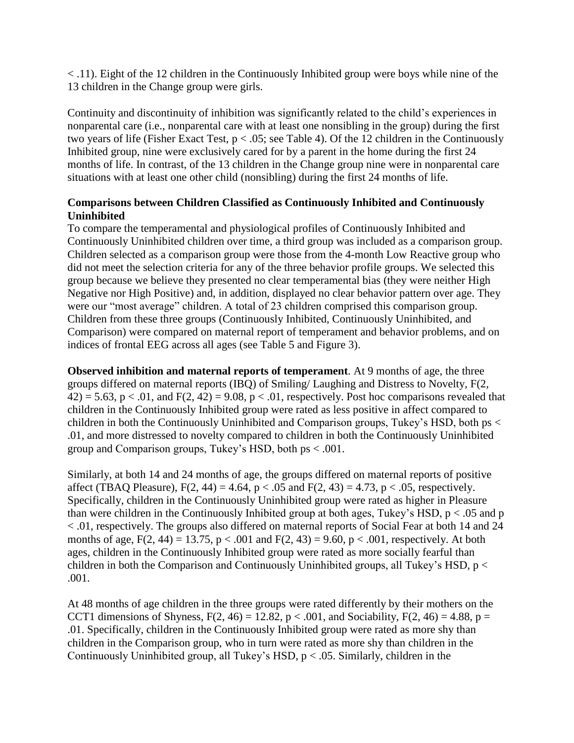< .11). Eight of the 12 children in the Continuously Inhibited group were boys while nine of the 13 children in the Change group were girls.

Continuity and discontinuity of inhibition was significantly related to the child's experiences in nonparental care (i.e., nonparental care with at least one nonsibling in the group) during the first two years of life (Fisher Exact Test,  $p < .05$ ; see Table 4). Of the 12 children in the Continuously Inhibited group, nine were exclusively cared for by a parent in the home during the first 24 months of life. In contrast, of the 13 children in the Change group nine were in nonparental care situations with at least one other child (nonsibling) during the first 24 months of life.

# **Comparisons between Children Classified as Continuously Inhibited and Continuously Uninhibited**

To compare the temperamental and physiological profiles of Continuously Inhibited and Continuously Uninhibited children over time, a third group was included as a comparison group. Children selected as a comparison group were those from the 4-month Low Reactive group who did not meet the selection criteria for any of the three behavior profile groups. We selected this group because we believe they presented no clear temperamental bias (they were neither High Negative nor High Positive) and, in addition, displayed no clear behavior pattern over age. They were our "most average" children. A total of 23 children comprised this comparison group. Children from these three groups (Continuously Inhibited, Continuously Uninhibited, and Comparison) were compared on maternal report of temperament and behavior problems, and on indices of frontal EEG across all ages (see Table 5 and Figure 3).

**Observed inhibition and maternal reports of temperament**. At 9 months of age, the three groups differed on maternal reports (IBQ) of Smiling/ Laughing and Distress to Novelty, F(2,  $42$ ) = 5.63, p < .01, and F(2, 42) = 9.08, p < .01, respectively. Post hoc comparisons revealed that children in the Continuously Inhibited group were rated as less positive in affect compared to children in both the Continuously Uninhibited and Comparison groups, Tukey's HSD, both ps < .01, and more distressed to novelty compared to children in both the Continuously Uninhibited group and Comparison groups, Tukey's HSD, both ps < .001.

Similarly, at both 14 and 24 months of age, the groups differed on maternal reports of positive affect (TBAQ Pleasure),  $F(2, 44) = 4.64$ ,  $p < .05$  and  $F(2, 43) = 4.73$ ,  $p < .05$ , respectively. Specifically, children in the Continuously Uninhibited group were rated as higher in Pleasure than were children in the Continuously Inhibited group at both ages, Tukey's HSD,  $p < .05$  and p < .01, respectively. The groups also differed on maternal reports of Social Fear at both 14 and 24 months of age,  $F(2, 44) = 13.75$ ,  $p < .001$  and  $F(2, 43) = 9.60$ ,  $p < .001$ , respectively. At both ages, children in the Continuously Inhibited group were rated as more socially fearful than children in both the Comparison and Continuously Uninhibited groups, all Tukey's HSD,  $p <$ .001.

At 48 months of age children in the three groups were rated differently by their mothers on the CCT1 dimensions of Shyness,  $F(2, 46) = 12.82$ ,  $p < .001$ , and Sociability,  $F(2, 46) = 4.88$ ,  $p =$ .01. Specifically, children in the Continuously Inhibited group were rated as more shy than children in the Comparison group, who in turn were rated as more shy than children in the Continuously Uninhibited group, all Tukey's HSD,  $p < .05$ . Similarly, children in the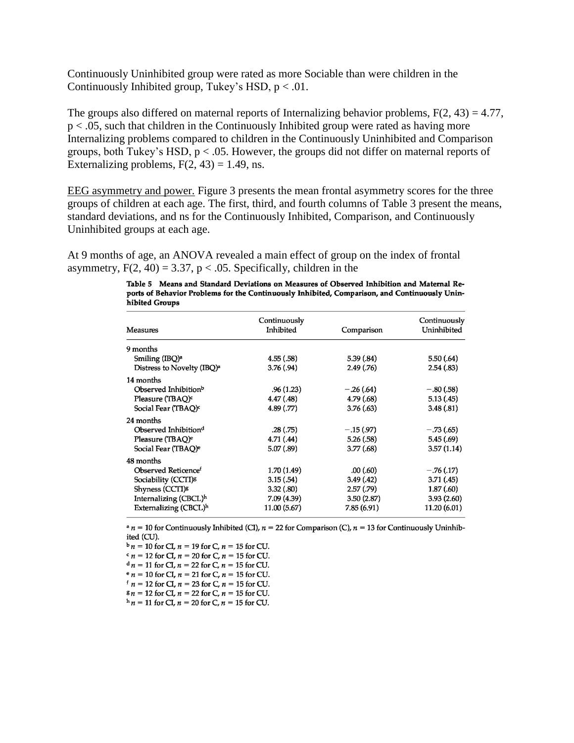Continuously Uninhibited group were rated as more Sociable than were children in the Continuously Inhibited group, Tukey's HSD,  $p < .01$ .

The groups also differed on maternal reports of Internalizing behavior problems,  $F(2, 43) = 4.77$ , p < .05, such that children in the Continuously Inhibited group were rated as having more Internalizing problems compared to children in the Continuously Uninhibited and Comparison groups, both Tukey's HSD,  $p < .05$ . However, the groups did not differ on maternal reports of Externalizing problems,  $F(2, 43) = 1.49$ , ns.

EEG asymmetry and power. Figure 3 presents the mean frontal asymmetry scores for the three groups of children at each age. The first, third, and fourth columns of Table 3 present the means, standard deviations, and ns for the Continuously Inhibited, Comparison, and Continuously Uninhibited groups at each age.

At 9 months of age, an ANOVA revealed a main effect of group on the index of frontal asymmetry,  $F(2, 40) = 3.37$ ,  $p < .05$ . Specifically, children in the

|                | Table 5 Means and Standard Deviations on Measures of Observed Inhibition and Maternal Re-     |
|----------------|-----------------------------------------------------------------------------------------------|
|                | ports of Behavior Problems for the Continuously Inhibited, Comparison, and Continuously Unin- |
| hibited Groups |                                                                                               |

| <b>Measures</b>                        | Continuously<br>Inhibited | Comparison  | Continuously<br>Uninhibited |
|----------------------------------------|---------------------------|-------------|-----------------------------|
|                                        |                           |             |                             |
| 9 months                               |                           |             |                             |
| Smiling $(IBQ)^a$                      | 4.55(.58)                 | 5.39(.84)   | 5.50(.64)                   |
| Distress to Novelty (IBQ) <sup>a</sup> | 3.76(.94)                 | 2.49(0.76)  | 2.54(.83)                   |
| 14 months                              |                           |             |                             |
| Observed Inhibition <sup>b</sup>       | .96(1.23)                 | $-.26(.64)$ | $-.80(.58)$                 |
| Pleasure (TBAQ) <sup>c</sup>           | 4.47 (.48)                | 4.79 (.68)  | 5.13(0.45)                  |
| Social Fear (TBAQ) <sup>c</sup>        | 4.89(.77)                 | 3.76(.63)   | 3.48(.81)                   |
| 24 months                              |                           |             |                             |
| Observed Inhibition <sup>d</sup>       | .28(.75)                  | $-.15(.97)$ | $-.73(.65)$                 |
| Pleasure (TBAQ) <sup>e</sup>           | 4.71 (.44)                | 5.26(.58)   | 5.45(.69)                   |
| Social Fear (TBAO) <sup>e</sup>        | 5.07(.89)                 | 3.77(0.68)  | 3.57(1.14)                  |
| 48 months                              |                           |             |                             |
| Observed Reticence <sup>f</sup>        | 1.70(1.49)                | .00(0.60)   | $-.76(.17)$                 |
| Sociability (CCTI)8                    | 3.15(.54)                 | 3.49(0.42)  | 3.71(.45)                   |
| Shyness (CCTI) <sup>8</sup>            | 3.32(.80)                 | 2.57(0.79)  | 1.87(0.60)                  |
| Internalizing (CBCL) <sup>h</sup>      | 7.09 (4.39)               | 3.50(2.87)  | 3.93(2.60)                  |
| Externalizing (CBCL) <sup>h</sup>      | 11.00 (5.67)              | 7.85(6.91)  | 11.20 (6.01)                |
|                                        |                           |             |                             |

<sup>a</sup>  $n = 10$  for Continuously Inhibited (CI),  $n = 22$  for Comparison (C),  $n = 13$  for Continuously Uninhibited (CU).

 $h_n = 10$  for CI,  $n = 19$  for C,  $n = 15$  for CU.

 $n = 12$  for CI,  $n = 20$  for C,  $n = 15$  for CU.

 $d_n = 11$  for CI,  $n = 22$  for C,  $n = 15$  for CU.

 $n = 10$  for CI,  $n = 21$  for C,  $n = 15$  for CU.  $n = 12$  for CI,  $n = 23$  for C,  $n = 15$  for CU.

 $8 n = 12$  for CI,  $n = 22$  for C,  $n = 15$  for CU.

 $h_n = 11$  for CI,  $n = 20$  for C,  $n = 15$  for CU.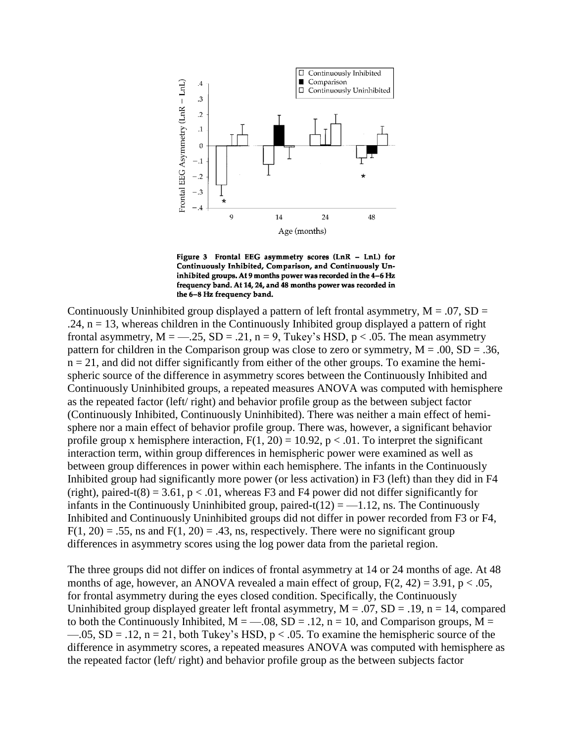

Figure 3 Frontal EEG asymmetry scores (LnR - LnL) for Continuously Inhibited, Comparison, and Continuously Uninhibited groups. At 9 months power was recorded in the 4-6 Hz frequency band. At 14, 24, and 48 months power was recorded in the 6-8 Hz frequency band.

Continuously Uninhibited group displayed a pattern of left frontal asymmetry,  $M = .07$ ,  $SD =$  $.24$ ,  $n = 13$ , whereas children in the Continuously Inhibited group displayed a pattern of right frontal asymmetry,  $M = -.25$ ,  $SD = .21$ ,  $n = 9$ , Tukey's HSD,  $p < .05$ . The mean asymmetry pattern for children in the Comparison group was close to zero or symmetry,  $M = .00$ ,  $SD = .36$ ,  $n = 21$ , and did not differ significantly from either of the other groups. To examine the hemispheric source of the difference in asymmetry scores between the Continuously Inhibited and Continuously Uninhibited groups, a repeated measures ANOVA was computed with hemisphere as the repeated factor (left/ right) and behavior profile group as the between subject factor (Continuously Inhibited, Continuously Uninhibited). There was neither a main effect of hemisphere nor a main effect of behavior profile group. There was, however, a significant behavior profile group x hemisphere interaction,  $F(1, 20) = 10.92$ ,  $p < .01$ . To interpret the significant interaction term, within group differences in hemispheric power were examined as well as between group differences in power within each hemisphere. The infants in the Continuously Inhibited group had significantly more power (or less activation) in F3 (left) than they did in F4 (right), paired-t(8) = 3.61,  $p < .01$ , whereas F3 and F4 power did not differ significantly for infants in the Continuously Uninhibited group, paired-t( $12$ ) =  $-1.12$ , ns. The Continuously Inhibited and Continuously Uninhibited groups did not differ in power recorded from F3 or F4,  $F(1, 20) = .55$ , ns and  $F(1, 20) = .43$ , ns, respectively. There were no significant group differences in asymmetry scores using the log power data from the parietal region.

The three groups did not differ on indices of frontal asymmetry at 14 or 24 months of age. At 48 months of age, however, an ANOVA revealed a main effect of group,  $F(2, 42) = 3.91$ ,  $p < .05$ , for frontal asymmetry during the eyes closed condition. Specifically, the Continuously Uninhibited group displayed greater left frontal asymmetry,  $M = .07$ ,  $SD = .19$ ,  $n = 14$ , compared to both the Continuously Inhibited,  $M = -.08$ ,  $SD = .12$ ,  $n = 10$ , and Comparison groups,  $M =$  $-.05$ , SD = .12, n = 21, both Tukey's HSD, p < .05. To examine the hemispheric source of the difference in asymmetry scores, a repeated measures ANOVA was computed with hemisphere as the repeated factor (left/ right) and behavior profile group as the between subjects factor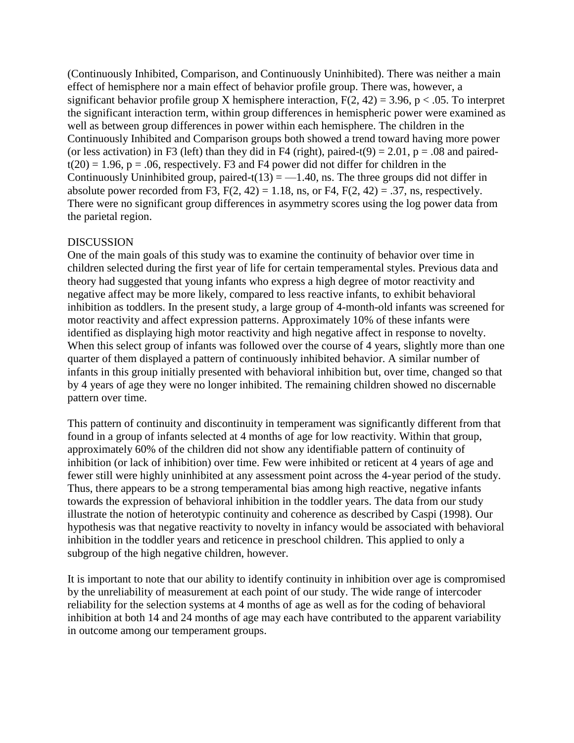(Continuously Inhibited, Comparison, and Continuously Uninhibited). There was neither a main effect of hemisphere nor a main effect of behavior profile group. There was, however, a significant behavior profile group X hemisphere interaction,  $F(2, 42) = 3.96$ , p < .05. To interpret the significant interaction term, within group differences in hemispheric power were examined as well as between group differences in power within each hemisphere. The children in the Continuously Inhibited and Comparison groups both showed a trend toward having more power (or less activation) in F3 (left) than they did in F4 (right), paired-t(9) = 2.01, p = .08 and paired $t(20) = 1.96$ ,  $p = .06$ , respectively. F3 and F4 power did not differ for children in the Continuously Uninhibited group, paired-t(13) =  $-1.40$ , ns. The three groups did not differ in absolute power recorded from F3,  $F(2, 42) = 1.18$ , ns, or F4,  $F(2, 42) = .37$ , ns, respectively. There were no significant group differences in asymmetry scores using the log power data from the parietal region.

# DISCUSSION

One of the main goals of this study was to examine the continuity of behavior over time in children selected during the first year of life for certain temperamental styles. Previous data and theory had suggested that young infants who express a high degree of motor reactivity and negative affect may be more likely, compared to less reactive infants, to exhibit behavioral inhibition as toddlers. In the present study, a large group of 4-month-old infants was screened for motor reactivity and affect expression patterns. Approximately 10% of these infants were identified as displaying high motor reactivity and high negative affect in response to novelty. When this select group of infants was followed over the course of 4 years, slightly more than one quarter of them displayed a pattern of continuously inhibited behavior. A similar number of infants in this group initially presented with behavioral inhibition but, over time, changed so that by 4 years of age they were no longer inhibited. The remaining children showed no discernable pattern over time.

This pattern of continuity and discontinuity in temperament was significantly different from that found in a group of infants selected at 4 months of age for low reactivity. Within that group, approximately 60% of the children did not show any identifiable pattern of continuity of inhibition (or lack of inhibition) over time. Few were inhibited or reticent at 4 years of age and fewer still were highly uninhibited at any assessment point across the 4-year period of the study. Thus, there appears to be a strong temperamental bias among high reactive, negative infants towards the expression of behavioral inhibition in the toddler years. The data from our study illustrate the notion of heterotypic continuity and coherence as described by Caspi (1998). Our hypothesis was that negative reactivity to novelty in infancy would be associated with behavioral inhibition in the toddler years and reticence in preschool children. This applied to only a subgroup of the high negative children, however.

It is important to note that our ability to identify continuity in inhibition over age is compromised by the unreliability of measurement at each point of our study. The wide range of intercoder reliability for the selection systems at 4 months of age as well as for the coding of behavioral inhibition at both 14 and 24 months of age may each have contributed to the apparent variability in outcome among our temperament groups.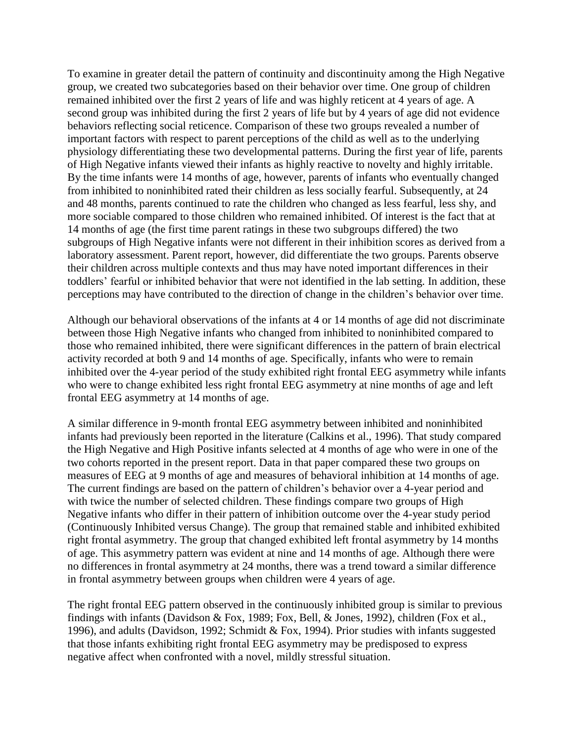To examine in greater detail the pattern of continuity and discontinuity among the High Negative group, we created two subcategories based on their behavior over time. One group of children remained inhibited over the first 2 years of life and was highly reticent at 4 years of age. A second group was inhibited during the first 2 years of life but by 4 years of age did not evidence behaviors reflecting social reticence. Comparison of these two groups revealed a number of important factors with respect to parent perceptions of the child as well as to the underlying physiology differentiating these two developmental patterns. During the first year of life, parents of High Negative infants viewed their infants as highly reactive to novelty and highly irritable. By the time infants were 14 months of age, however, parents of infants who eventually changed from inhibited to noninhibited rated their children as less socially fearful. Subsequently, at 24 and 48 months, parents continued to rate the children who changed as less fearful, less shy, and more sociable compared to those children who remained inhibited. Of interest is the fact that at 14 months of age (the first time parent ratings in these two subgroups differed) the two subgroups of High Negative infants were not different in their inhibition scores as derived from a laboratory assessment. Parent report, however, did differentiate the two groups. Parents observe their children across multiple contexts and thus may have noted important differences in their toddlers' fearful or inhibited behavior that were not identified in the lab setting. In addition, these perceptions may have contributed to the direction of change in the children's behavior over time.

Although our behavioral observations of the infants at 4 or 14 months of age did not discriminate between those High Negative infants who changed from inhibited to noninhibited compared to those who remained inhibited, there were significant differences in the pattern of brain electrical activity recorded at both 9 and 14 months of age. Specifically, infants who were to remain inhibited over the 4-year period of the study exhibited right frontal EEG asymmetry while infants who were to change exhibited less right frontal EEG asymmetry at nine months of age and left frontal EEG asymmetry at 14 months of age.

A similar difference in 9-month frontal EEG asymmetry between inhibited and noninhibited infants had previously been reported in the literature (Calkins et al., 1996). That study compared the High Negative and High Positive infants selected at 4 months of age who were in one of the two cohorts reported in the present report. Data in that paper compared these two groups on measures of EEG at 9 months of age and measures of behavioral inhibition at 14 months of age. The current findings are based on the pattern of children's behavior over a 4-year period and with twice the number of selected children. These findings compare two groups of High Negative infants who differ in their pattern of inhibition outcome over the 4-year study period (Continuously Inhibited versus Change). The group that remained stable and inhibited exhibited right frontal asymmetry. The group that changed exhibited left frontal asymmetry by 14 months of age. This asymmetry pattern was evident at nine and 14 months of age. Although there were no differences in frontal asymmetry at 24 months, there was a trend toward a similar difference in frontal asymmetry between groups when children were 4 years of age.

The right frontal EEG pattern observed in the continuously inhibited group is similar to previous findings with infants (Davidson & Fox, 1989; Fox, Bell, & Jones, 1992), children (Fox et al., 1996), and adults (Davidson, 1992; Schmidt & Fox, 1994). Prior studies with infants suggested that those infants exhibiting right frontal EEG asymmetry may be predisposed to express negative affect when confronted with a novel, mildly stressful situation.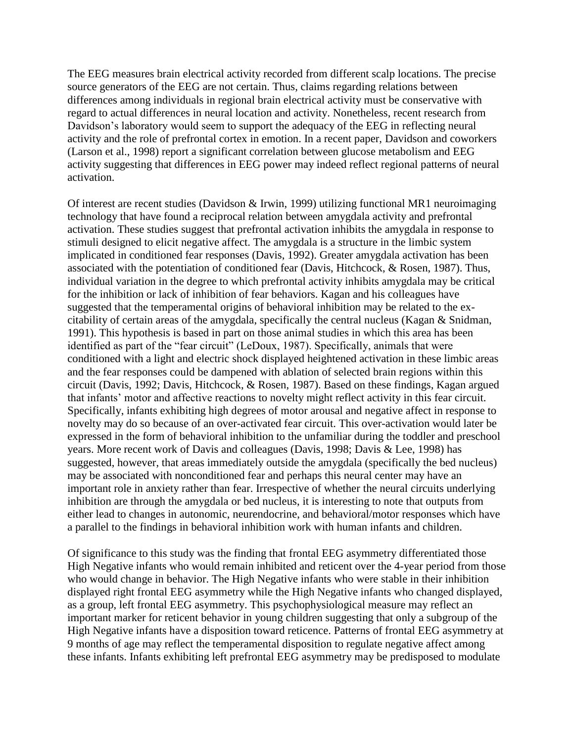The EEG measures brain electrical activity recorded from different scalp locations. The precise source generators of the EEG are not certain. Thus, claims regarding relations between differences among individuals in regional brain electrical activity must be conservative with regard to actual differences in neural location and activity. Nonetheless, recent research from Davidson's laboratory would seem to support the adequacy of the EEG in reflecting neural activity and the role of prefrontal cortex in emotion. In a recent paper, Davidson and coworkers (Larson et al., 1998) report a significant correlation between glucose metabolism and EEG activity suggesting that differences in EEG power may indeed reflect regional patterns of neural activation.

Of interest are recent studies (Davidson & Irwin, 1999) utilizing functional MR1 neuroimaging technology that have found a reciprocal relation between amygdala activity and prefrontal activation. These studies suggest that prefrontal activation inhibits the amygdala in response to stimuli designed to elicit negative affect. The amygdala is a structure in the limbic system implicated in conditioned fear responses (Davis, 1992). Greater amygdala activation has been associated with the potentiation of conditioned fear (Davis, Hitchcock, & Rosen, 1987). Thus, individual variation in the degree to which prefrontal activity inhibits amygdala may be critical for the inhibition or lack of inhibition of fear behaviors. Kagan and his colleagues have suggested that the temperamental origins of behavioral inhibition may be related to the excitability of certain areas of the amygdala, specifically the central nucleus (Kagan & Snidman, 1991). This hypothesis is based in part on those animal studies in which this area has been identified as part of the "fear circuit" (LeDoux, 1987). Specifically, animals that were conditioned with a light and electric shock displayed heightened activation in these limbic areas and the fear responses could be dampened with ablation of selected brain regions within this circuit (Davis, 1992; Davis, Hitchcock, & Rosen, 1987). Based on these findings, Kagan argued that infants' motor and affective reactions to novelty might reflect activity in this fear circuit. Specifically, infants exhibiting high degrees of motor arousal and negative affect in response to novelty may do so because of an over-activated fear circuit. This over-activation would later be expressed in the form of behavioral inhibition to the unfamiliar during the toddler and preschool years. More recent work of Davis and colleagues (Davis, 1998; Davis & Lee, 1998) has suggested, however, that areas immediately outside the amygdala (specifically the bed nucleus) may be associated with nonconditioned fear and perhaps this neural center may have an important role in anxiety rather than fear. Irrespective of whether the neural circuits underlying inhibition are through the amygdala or bed nucleus, it is interesting to note that outputs from either lead to changes in autonomic, neurendocrine, and behavioral/motor responses which have a parallel to the findings in behavioral inhibition work with human infants and children.

Of significance to this study was the finding that frontal EEG asymmetry differentiated those High Negative infants who would remain inhibited and reticent over the 4-year period from those who would change in behavior. The High Negative infants who were stable in their inhibition displayed right frontal EEG asymmetry while the High Negative infants who changed displayed, as a group, left frontal EEG asymmetry. This psychophysiological measure may reflect an important marker for reticent behavior in young children suggesting that only a subgroup of the High Negative infants have a disposition toward reticence. Patterns of frontal EEG asymmetry at 9 months of age may reflect the temperamental disposition to regulate negative affect among these infants. Infants exhibiting left prefrontal EEG asymmetry may be predisposed to modulate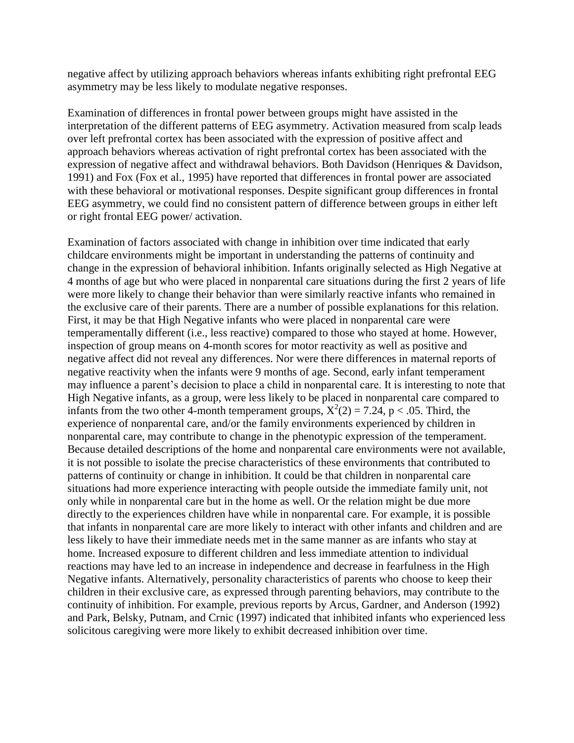negative affect by utilizing approach behaviors whereas infants exhibiting right prefrontal EEG asymmetry may be less likely to modulate negative responses.

Examination of differences in frontal power between groups might have assisted in the interpretation of the different patterns of EEG asymmetry. Activation measured from scalp leads over left prefrontal cortex has been associated with the expression of positive affect and approach behaviors whereas activation of right prefrontal cortex has been associated with the expression of negative affect and withdrawal behaviors. Both Davidson (Henriques & Davidson, 1991) and Fox (Fox et al., 1995) have reported that differences in frontal power are associated with these behavioral or motivational responses. Despite significant group differences in frontal EEG asymmetry, we could find no consistent pattern of difference between groups in either left or right frontal EEG power/ activation.

Examination of factors associated with change in inhibition over time indicated that early childcare environments might be important in understanding the patterns of continuity and change in the expression of behavioral inhibition. Infants originally selected as High Negative at 4 months of age but who were placed in nonparental care situations during the first 2 years of life were more likely to change their behavior than were similarly reactive infants who remained in the exclusive care of their parents. There are a number of possible explanations for this relation. First, it may be that High Negative infants who were placed in nonparental care were temperamentally different (i.e., less reactive) compared to those who stayed at home. However, inspection of group means on 4-month scores for motor reactivity as well as positive and negative affect did not reveal any differences. Nor were there differences in maternal reports of negative reactivity when the infants were 9 months of age. Second, early infant temperament may influence a parent's decision to place a child in nonparental care. It is interesting to note that High Negative infants, as a group, were less likely to be placed in nonparental care compared to infants from the two other 4-month temperament groups,  $X^2(2) = 7.24$ , p < .05. Third, the experience of nonparental care, and/or the family environments experienced by children in nonparental care, may contribute to change in the phenotypic expression of the temperament. Because detailed descriptions of the home and nonparental care environments were not available, it is not possible to isolate the precise characteristics of these environments that contributed to patterns of continuity or change in inhibition. It could be that children in nonparental care situations had more experience interacting with people outside the immediate family unit, not only while in nonparental care but in the home as well. Or the relation might be due more directly to the experiences children have while in nonparental care. For example, it is possible that infants in nonparental care are more likely to interact with other infants and children and are less likely to have their immediate needs met in the same manner as are infants who stay at home. Increased exposure to different children and less immediate attention to individual reactions may have led to an increase in independence and decrease in fearfulness in the High Negative infants. Alternatively, personality characteristics of parents who choose to keep their children in their exclusive care, as expressed through parenting behaviors, may contribute to the continuity of inhibition. For example, previous reports by Arcus, Gardner, and Anderson (1992) and Park, Belsky, Putnam, and Crnic (1997) indicated that inhibited infants who experienced less solicitous caregiving were more likely to exhibit decreased inhibition over time.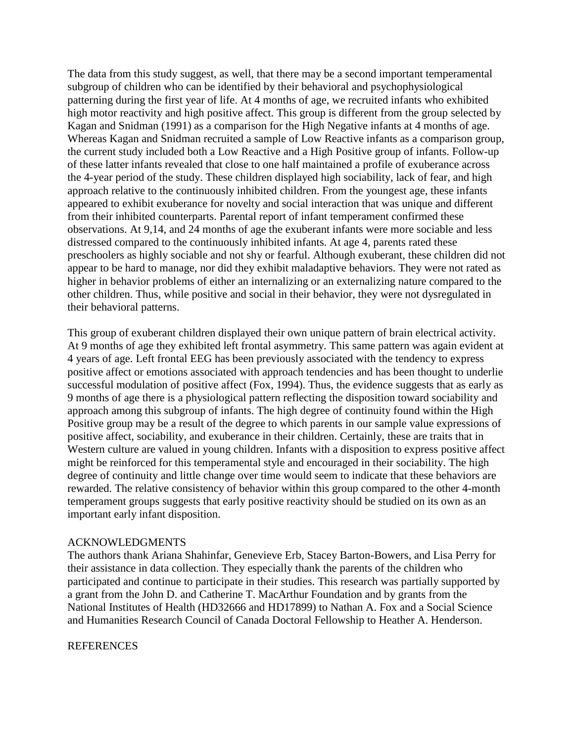The data from this study suggest, as well, that there may be a second important temperamental subgroup of children who can be identified by their behavioral and psychophysiological patterning during the first year of life. At 4 months of age, we recruited infants who exhibited high motor reactivity and high positive affect. This group is different from the group selected by Kagan and Snidman (1991) as a comparison for the High Negative infants at 4 months of age. Whereas Kagan and Snidman recruited a sample of Low Reactive infants as a comparison group, the current study included both a Low Reactive and a High Positive group of infants. Follow-up of these latter infants revealed that close to one half maintained a profile of exuberance across the 4-year period of the study. These children displayed high sociability, lack of fear, and high approach relative to the continuously inhibited children. From the youngest age, these infants appeared to exhibit exuberance for novelty and social interaction that was unique and different from their inhibited counterparts. Parental report of infant temperament confirmed these observations. At 9,14, and 24 months of age the exuberant infants were more sociable and less distressed compared to the continuously inhibited infants. At age 4, parents rated these preschoolers as highly sociable and not shy or fearful. Although exuberant, these children did not appear to be hard to manage, nor did they exhibit maladaptive behaviors. They were not rated as higher in behavior problems of either an internalizing or an externalizing nature compared to the other children. Thus, while positive and social in their behavior, they were not dysregulated in their behavioral patterns.

This group of exuberant children displayed their own unique pattern of brain electrical activity. At 9 months of age they exhibited left frontal asymmetry. This same pattern was again evident at 4 years of age. Left frontal EEG has been previously associated with the tendency to express positive affect or emotions associated with approach tendencies and has been thought to underlie successful modulation of positive affect (Fox, 1994). Thus, the evidence suggests that as early as 9 months of age there is a physiological pattern reflecting the disposition toward sociability and approach among this subgroup of infants. The high degree of continuity found within the High Positive group may be a result of the degree to which parents in our sample value expressions of positive affect, sociability, and exuberance in their children. Certainly, these are traits that in Western culture are valued in young children. Infants with a disposition to express positive affect might be reinforced for this temperamental style and encouraged in their sociability. The high degree of continuity and little change over time would seem to indicate that these behaviors are rewarded. The relative consistency of behavior within this group compared to the other 4-month temperament groups suggests that early positive reactivity should be studied on its own as an important early infant disposition.

### ACKNOWLEDGMENTS

The authors thank Ariana Shahinfar, Genevieve Erb, Stacey Barton-Bowers, and Lisa Perry for their assistance in data collection. They especially thank the parents of the children who participated and continue to participate in their studies. This research was partially supported by a grant from the John D. and Catherine T. MacArthur Foundation and by grants from the National Institutes of Health (HD32666 and HD17899) to Nathan A. Fox and a Social Science and Humanities Research Council of Canada Doctoral Fellowship to Heather A. Henderson.

#### **REFERENCES**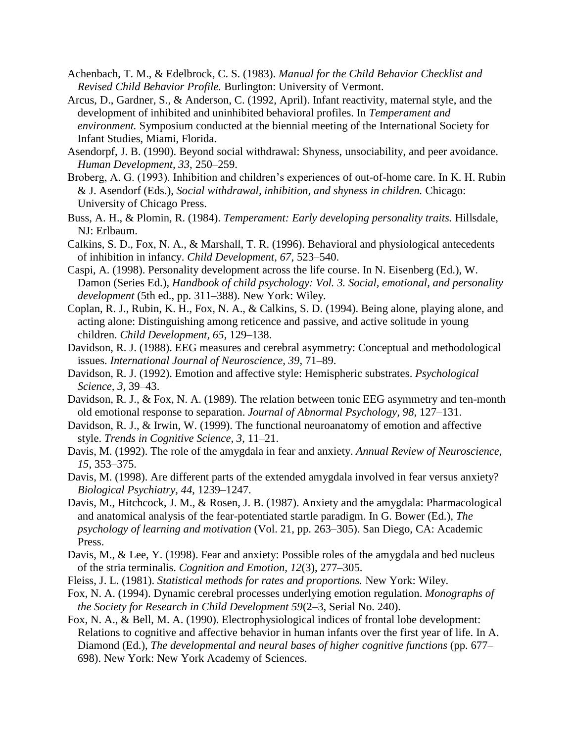- Achenbach, T. M., & Edelbrock, C. S. (1983). *Manual for the Child Behavior Checklist and Revised Child Behavior Profile.* Burlington: University of Vermont.
- Arcus, D., Gardner, S., & Anderson, C. (1992, April). Infant reactivity, maternal style, and the development of inhibited and uninhibited behavioral profiles. In *Temperament and environment.* Symposium conducted at the biennial meeting of the International Society for Infant Studies, Miami, Florida.
- Asendorpf, J. B. (1990). Beyond social withdrawal: Shyness, unsociability, and peer avoidance. *Human Development, 33*, 250–259.
- Broberg, A. G. (1993). Inhibition and children's experiences of out-of-home care. In K. H. Rubin & J. Asendorf (Eds.), *Social withdrawal, inhibition, and shyness in children.* Chicago: University of Chicago Press.
- Buss, A. H., & Plomin, R. (1984). *Temperament: Early developing personality traits.* Hillsdale, NJ: Erlbaum.
- Calkins, S. D., Fox, N. A., & Marshall, T. R. (1996). Behavioral and physiological antecedents of inhibition in infancy. *Child Development, 67*, 523–540.
- Caspi, A. (1998). Personality development across the life course. In N. Eisenberg (Ed.), W. Damon (Series Ed.), *Handbook of child psychology: Vol. 3. Social, emotional, and personality development* (5th ed., pp. 311–388). New York: Wiley.
- Coplan, R. J., Rubin, K. H., Fox, N. A., & Calkins, S. D. (1994). Being alone, playing alone, and acting alone: Distinguishing among reticence and passive, and active solitude in young children. *Child Development, 65*, 129–138.
- Davidson, R. J. (1988). EEG measures and cerebral asymmetry: Conceptual and methodological issues. *International Journal of Neuroscience, 39*, 71–89.
- Davidson, R. J. (1992). Emotion and affective style: Hemispheric substrates. *Psychological Science, 3*, 39–43.
- Davidson, R. J., & Fox, N. A. (1989). The relation between tonic EEG asymmetry and ten-month old emotional response to separation. *Journal of Abnormal Psychology, 98*, 127–131.
- Davidson, R. J., & Irwin, W. (1999). The functional neuroanatomy of emotion and affective style. *Trends in Cognitive Science, 3*, 11–21.
- Davis, M. (1992). The role of the amygdala in fear and anxiety. *Annual Review of Neuroscience, 15*, 353–375.
- Davis, M. (1998). Are different parts of the extended amygdala involved in fear versus anxiety? *Biological Psychiatry, 44*, 1239–1247.
- Davis, M., Hitchcock, J. M., & Rosen, J. B. (1987). Anxiety and the amygdala: Pharmacological and anatomical analysis of the fear-potentiated startle paradigm. In G. Bower (Ed.), *The psychology of learning and motivation* (Vol. 21, pp. 263–305). San Diego, CA: Academic Press.
- Davis, M., & Lee, Y. (1998). Fear and anxiety: Possible roles of the amygdala and bed nucleus of the stria terminalis. *Cognition and Emotion, 12*(3), 277–305.
- Fleiss, J. L. (1981). *Statistical methods for rates and proportions.* New York: Wiley.
- Fox, N. A. (1994). Dynamic cerebral processes underlying emotion regulation. *Monographs of the Society for Research in Child Development 59*(2–3, Serial No. 240).
- Fox, N. A., & Bell, M. A. (1990). Electrophysiological indices of frontal lobe development: Relations to cognitive and affective behavior in human infants over the first year of life. In A. Diamond (Ed.), *The developmental and neural bases of higher cognitive functions* (pp. 677– 698). New York: New York Academy of Sciences.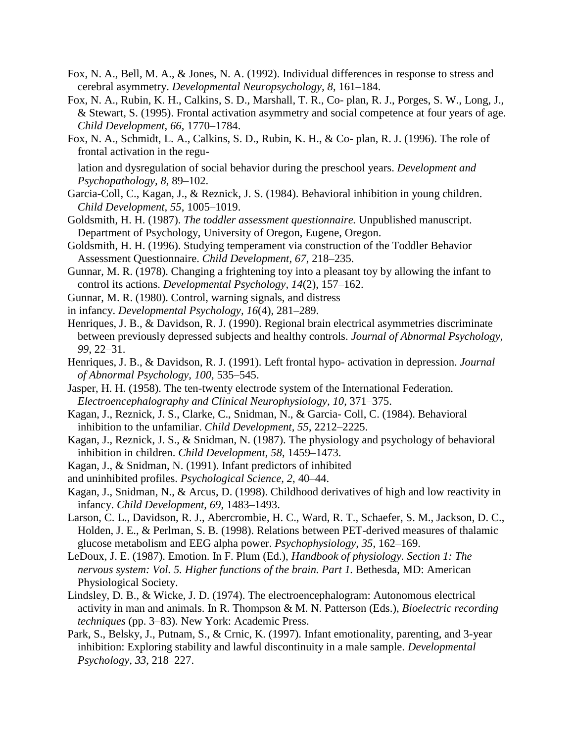- Fox, N. A., Bell, M. A., & Jones, N. A. (1992). Individual differences in response to stress and cerebral asymmetry. *Developmental Neuropsychology, 8*, 161–184.
- Fox, N. A., Rubin, K. H., Calkins, S. D., Marshall, T. R., Co- plan, R. J., Porges, S. W., Long, J., & Stewart, S. (1995). Frontal activation asymmetry and social competence at four years of age. *Child Development, 66*, 1770–1784.
- Fox, N. A., Schmidt, L. A., Calkins, S. D., Rubin, K. H., & Co- plan, R. J. (1996). The role of frontal activation in the regu-

lation and dysregulation of social behavior during the preschool years. *Development and Psychopathology, 8*, 89–102.

- Garcia-Coll, C., Kagan, J., & Reznick, J. S. (1984). Behavioral inhibition in young children. *Child Development, 55*, 1005–1019.
- Goldsmith, H. H. (1987). *The toddler assessment questionnaire.* Unpublished manuscript. Department of Psychology, University of Oregon, Eugene, Oregon.
- Goldsmith, H. H. (1996). Studying temperament via construction of the Toddler Behavior Assessment Questionnaire. *Child Development, 67*, 218–235.
- Gunnar, M. R. (1978). Changing a frightening toy into a pleasant toy by allowing the infant to control its actions. *Developmental Psychology, 14*(2), 157–162.
- Gunnar, M. R. (1980). Control, warning signals, and distress
- in infancy. *Developmental Psychology, 16*(4), 281–289.
- Henriques, J. B., & Davidson, R. J. (1990). Regional brain electrical asymmetries discriminate between previously depressed subjects and healthy controls. *Journal of Abnormal Psychology, 99*, 22–31.
- Henriques, J. B., & Davidson, R. J. (1991). Left frontal hypo- activation in depression. *Journal of Abnormal Psychology, 100*, 535–545.
- Jasper, H. H. (1958). The ten-twenty electrode system of the International Federation. *Electroencephalography and Clinical Neurophysiology, 10*, 371–375.
- Kagan, J., Reznick, J. S., Clarke, C., Snidman, N., & Garcia- Coll, C. (1984). Behavioral inhibition to the unfamiliar. *Child Development, 55*, 2212–2225.
- Kagan, J., Reznick, J. S., & Snidman, N. (1987). The physiology and psychology of behavioral inhibition in children. *Child Development, 58*, 1459–1473.
- Kagan, J., & Snidman, N. (1991). Infant predictors of inhibited
- and uninhibited profiles. *Psychological Science, 2*, 40–44.
- Kagan, J., Snidman, N., & Arcus, D. (1998). Childhood derivatives of high and low reactivity in infancy. *Child Development, 69*, 1483–1493.
- Larson, C. L., Davidson, R. J., Abercrombie, H. C., Ward, R. T., Schaefer, S. M., Jackson, D. C., Holden, J. E., & Perlman, S. B. (1998). Relations between PET-derived measures of thalamic glucose metabolism and EEG alpha power. *Psychophysiology, 35*, 162–169.
- LeDoux, J. E. (1987). Emotion. In F. Plum (Ed.), *Handbook of physiology. Section 1: The nervous system: Vol. 5. Higher functions of the brain. Part 1.* Bethesda, MD: American Physiological Society.
- Lindsley, D. B., & Wicke, J. D. (1974). The electroencephalogram: Autonomous electrical activity in man and animals. In R. Thompson & M. N. Patterson (Eds.), *Bioelectric recording techniques* (pp. 3–83). New York: Academic Press.
- Park, S., Belsky, J., Putnam, S., & Crnic, K. (1997). Infant emotionality, parenting, and 3-year inhibition: Exploring stability and lawful discontinuity in a male sample. *Developmental Psychology, 33*, 218–227.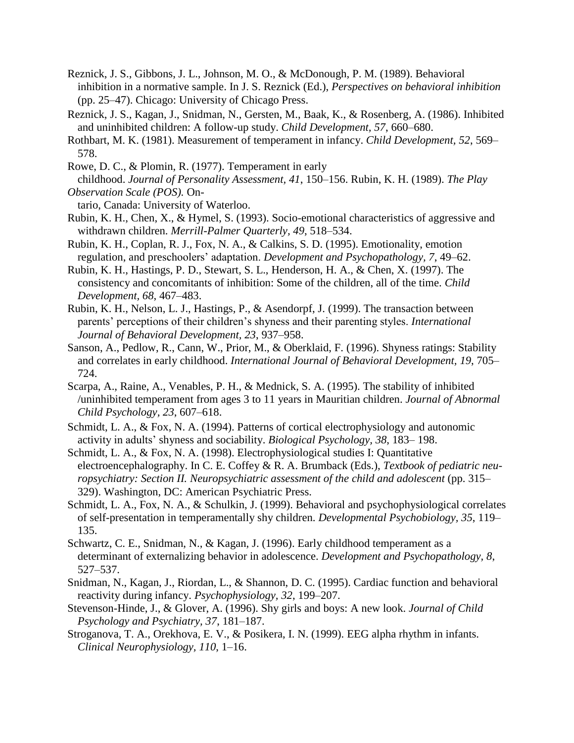- Reznick, J. S., Gibbons, J. L., Johnson, M. O., & McDonough, P. M. (1989). Behavioral inhibition in a normative sample. In J. S. Reznick (Ed.), *Perspectives on behavioral inhibition* (pp. 25–47). Chicago: University of Chicago Press.
- Reznick, J. S., Kagan, J., Snidman, N., Gersten, M., Baak, K., & Rosenberg, A. (1986). Inhibited and uninhibited children: A follow-up study. *Child Development, 57*, 660–680.
- Rothbart, M. K. (1981). Measurement of temperament in infancy. *Child Development, 52*, 569– 578.
- Rowe, D. C., & Plomin, R. (1977). Temperament in early childhood. *Journal of Personality Assessment, 41*, 150–156. Rubin, K. H. (1989). *The Play Observation Scale (POS).* On-

tario, Canada: University of Waterloo.

- Rubin, K. H., Chen, X., & Hymel, S. (1993). Socio-emotional characteristics of aggressive and withdrawn children. *Merrill-Palmer Quarterly, 49*, 518–534.
- Rubin, K. H., Coplan, R. J., Fox, N. A., & Calkins, S. D. (1995). Emotionality, emotion regulation, and preschoolers' adaptation. *Development and Psychopathology, 7*, 49–62.
- Rubin, K. H., Hastings, P. D., Stewart, S. L., Henderson, H. A., & Chen, X. (1997). The consistency and concomitants of inhibition: Some of the children, all of the time. *Child Development, 68*, 467–483.
- Rubin, K. H., Nelson, L. J., Hastings, P., & Asendorpf, J. (1999). The transaction between parents' perceptions of their children's shyness and their parenting styles. *International Journal of Behavioral Development, 23*, 937–958.
- Sanson, A., Pedlow, R., Cann, W., Prior, M., & Oberklaid, F. (1996). Shyness ratings: Stability and correlates in early childhood. *International Journal of Behavioral Development, 19*, 705– 724.
- Scarpa, A., Raine, A., Venables, P. H., & Mednick, S. A. (1995). The stability of inhibited /uninhibited temperament from ages 3 to 11 years in Mauritian children. *Journal of Abnormal Child Psychology, 23*, 607–618.
- Schmidt, L. A., & Fox, N. A. (1994). Patterns of cortical electrophysiology and autonomic activity in adults' shyness and sociability. *Biological Psychology, 38*, 183– 198.
- Schmidt, L. A., & Fox, N. A. (1998). Electrophysiological studies I: Quantitative electroencephalography. In C. E. Coffey & R. A. Brumback (Eds.), *Textbook of pediatric neuropsychiatry: Section II. Neuropsychiatric assessment of the child and adolescent* (pp. 315– 329). Washington, DC: American Psychiatric Press.
- Schmidt, L. A., Fox, N. A., & Schulkin, J. (1999). Behavioral and psychophysiological correlates of self-presentation in temperamentally shy children. *Developmental Psychobiology, 35*, 119– 135.
- Schwartz, C. E., Snidman, N., & Kagan, J. (1996). Early childhood temperament as a determinant of externalizing behavior in adolescence. *Development and Psychopathology, 8*, 527–537.
- Snidman, N., Kagan, J., Riordan, L., & Shannon, D. C. (1995). Cardiac function and behavioral reactivity during infancy. *Psychophysiology, 32*, 199–207.
- Stevenson-Hinde, J., & Glover, A. (1996). Shy girls and boys: A new look. *Journal of Child Psychology and Psychiatry, 37*, 181–187.
- Stroganova, T. A., Orekhova, E. V., & Posikera, I. N. (1999). EEG alpha rhythm in infants. *Clinical Neurophysiology, 110*, 1–16.